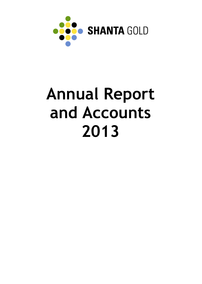

# **Annual Report and Accounts 2013**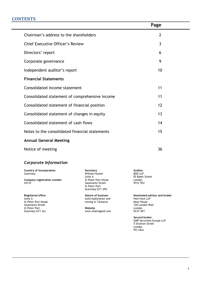## **CONTENTS**

|                                                | Page           |
|------------------------------------------------|----------------|
| Chairman's address to the shareholders         | $\overline{2}$ |
| Chief Executive Officer's Review               | 3              |
| Directors' report                              | 6              |
| Corporate governance                           | 9              |
| Independent auditor's report                   | 10             |
| <b>Financial Statements</b>                    |                |
| Consolidated income statement                  | 11             |
| Consolidated statement of comprehensive income | 11             |
| Consolidated statement of financial position   | 12             |
| Consolidated statement of changes in equity    | 13             |
| Consolidated statement of cash flows           | 14             |
| Notes to the consolidated financial statements | 15             |
| <b>Annual General Meeting</b>                  |                |
| Notice of meeting                              | 36             |

### *Corporate Information*

| Corporate Information       |                                   |                              |
|-----------------------------|-----------------------------------|------------------------------|
| Country of incorporation    | Secretary                         | Auditor                      |
| Guernsey                    | William Hunter                    | <b>BDO LLP</b>               |
|                             | Suite A                           | 55 Baker Street              |
| Company registration number | St Peter Port House               | London                       |
| 43133                       | Sausmarez Street<br>St Peter Port | W1U 7EU                      |
|                             | Guernsey GY1 2PU                  |                              |
| Registered office           | Nature of business                | Nominated advisor and broker |
| Suite A                     | Gold exploration and              | Peel Hunt LLP                |
| <b>St Peter Port House</b>  | mining in Tanzania                | Moor House                   |
| Sausmarez Street            |                                   | 120 London Wall              |
| St Peter Port               | Website                           | London                       |
| Guernsey GY1 3LL            | www.shantagold.com                | EC2Y 5ET                     |

\_\_\_\_\_\_\_\_\_\_\_\_\_\_\_\_\_\_\_\_\_\_\_\_\_\_\_\_\_\_\_\_\_\_\_\_\_\_\_\_\_\_\_\_\_\_\_\_\_\_\_\_\_\_\_\_\_\_\_\_\_\_\_\_\_\_\_\_\_\_\_\_\_\_\_\_\_\_\_\_\_\_\_\_\_\_\_\_\_\_\_\_\_\_\_\_\_\_\_\_

**Second broker** GMP Securities Europe LLP 5 Stratton Street London W1J 8LA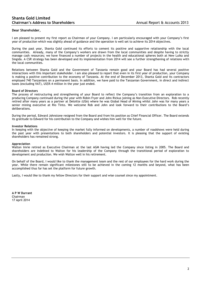### **Dear Shareholder,**

I am pleased to present my first report as Chairman of your Company. I am particularly encouraged with your Company's first year of production which was slightly ahead of guidance and the operation is well set to achieve its 2014 objectives.

During the past year, Shanta Gold continued its efforts to cement its positive and supportive relationship with the local communities. Already, many of the Company's workers are drawn from the local communities and despite having to strictly manage cash resources; we have financed a number of projects in the health and educational spheres both at New Luika and Singida. A CSR strategy has been developed and its implementation from 2014 will see a further strengthening of relations with the local communities.

Relations between Shanta Gold and the Government of Tanzania remain good and your Board has had several positive interactions with this important stakeholder. I am also pleased to report that even in its first year of production, your Company is making a positive contribution to the economy of Tanzania. At the end of December 2013, Shanta Gold and its contractors employed 740 Tanzanians on a permanent basis. In addition, we have paid to the Tanzanian Government, in direct and indirect taxes (excluding VAT), US\$9.4 million in the year just ended.

#### **Board of Directors**

The process of restructuring and strengthening of your Board to reflect the Company's transition from an exploration to a producing Company continued during the year with Robin Fryer and John Rickus joining as Non-Executive Directors. Rob recently retired after many years as a partner at Deloitte (USA) where he was Global Head of Mining whilst John was for many years a senior mining executive at Rio Tinto. We welcome Rob and John and look forward to their contributions to the Board's deliberations.

During the period, Edward Johnstone resigned from the Board and from his position as Chief Financial Officer. The Board extends its gratitude to Edward for his contribution to the Company and wishes him well for the future.

#### **Investor Relations**

In keeping with the objective of keeping the market fully informed on developments, a number of roadshows were held during the past year with presentations to both shareholders and potential investors. It is pleasing that the support of existing shareholders has remained strong.

#### **Appreciation**

Walton Imrie retired as Executive Chairman at the last AGM having led the Company since listing in 2005. The Board and shareholders are indebted to Walton for his leadership of the Company through the transitional period of exploration to development and production. We wish Walton well in his retirement.

On behalf of the Board, I would like to thank the management team and the rest of our employees for the hard work during the year. While there remain significant milestones still to be achieved in the coming 12 months and beyond, what has been accomplished thus far has set the platform for future growth.

Lastly, I would like to thank my fellow Directors for their support and wise counsel since my appointment.

**A P W Durrant** Chairman 17 April 2014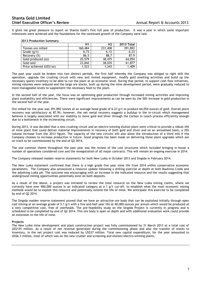It gives me great pleasure to report on Shanta Gold's first full year of production. It was a year in which some important milestones were achieved and the foundations for the continued growth of the Company were laid.

#### **2013 Production Summary**

|                          | H1      | Η2      | 2013 Total |
|--------------------------|---------|---------|------------|
| Tonnes ore milled        | 160,484 | 231,408 | 391,892    |
| Grade $(g/t)$            | 6.73    | 6.12    | 6.23       |
| Recovery (%)             | 86.5    | 88.7    | 87.9       |
| Gold produced (oz)       | 25.579  | 38,475  | 64.054     |
| Gold sold                | 23,842  | 38,035  | 61,877     |
| Price achieved (US\$/oz) | 1,523   | 1,343   | 1,409      |

The past year could be broken into two distinct periods, the first half whereby the Company was obliged to right skill the operation, upgrade the crushing circuit with new and rented equipment, modify gold smelting activities and build up the necessary spares inventory to be able to run the plant at an economic level. During that period, to support cash flow initiatives, mining volumes were reduced and the large ore stocks, built up during the mine development period, were gradually reduced to more manageable levels to supplement the necessary feed to the plant.

In the second half of the year, the focus was on optimising gold production through increased mining activities and improving plant availability and efficiencies. There were significant improvements as can be seen by the 50% increase in gold production in the second half of the year.

Ore milled for the year was 391,892 tonnes at an average head grade of 6.23 g/t to produce 64,054 ounces of gold. Overall plant recovery was satisfactory at 87.9%; however, the net metal recovery suggests a buildup in the in-circuit which management believes is largely associated with our inability to move gold and silver through the Carbon in Leach process efficiently enough due to a bottleneck in the incinerating circuit.

During 2013, it was decided that a new crushing circuit and an electro-winning elution plant were critical to provide a robust life of mine plant that could deliver material improvements in recovery of both gold and silver and on an annualised basis, a 35% volume increase from the 2013 figure. The capacity of the new circuits will also allow the introduction of a third mill if the Company chooses to increase production in future. Good progress has been made on delivering these plant upgrades which are on track to be commissioned by the end of Q2 2014.

The one common theme throughout the past year was the review of the cost structures which included bringing in-house a number of operations considered core and the renegotiation of all major contracts. This will remain an ongoing exercise in 2014.

The Company released maiden reserve statements for both New Luika in October 2013 and Singida in February 2014.

The New Luika statement confirmed that there is a high grade five year mine life from 2014 within conservative economic parameters. The Company also announced a resource update following a drilling exercise at depth at both Bauhinia Creek and the adjoining Luika pit. The outcome was encouraging with an increase in the indicated resource and the results suggesting that underground mining opportunities potentially exist on both deposits.

As a result of the above, a project was initiated to review the total resource on the New Luika mining claims, where we currently have over 900,000 ounces in an indicated category at a 1 g/t cut-off, to establish what the most economic mining methods would be to exploit this resource and potentially extend the life of mine. We anticipate this exercise to be completed by end of Q2 2014.

The Singida maiden reserve statement proved that we have an attractive ore body that can be exploited initially through open cast mining at an average grade of 5.1 g/t with a five and half-year life at 40,000 ounces per annum which would be produced at a very competitive cost, free of overheads. The pre-feasibility study on the Singida Project is currently in progress and is scheduled to be completed by end of Q2 2014. This ore body is open at depth and with additional evaluation work could provide an extension to the life of mine.

#### **Projects**

The New Luika mine development and plant construction project was fully commissioned by 31 March 2013 at a total cost of US\$125 million. As a result of net revenue generated during the commissioning phase and also the transfer of stocks to inventory, in the net project cost was reduced by US\$37 million. Total new capital expenditure, for the year amounted to US\$6.3 million, most of which was on the new crusher and screening and elution/electro-winning plants.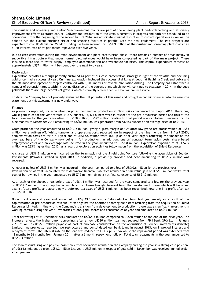### **Shanta Gold Limited Chief Executive Officer's Review (continued)** Annual Report & Accounts 2013

The crusher and screening and elution/electro-winning plants are part of the on-going plant de-bottlenecking and efficiency improvement efforts as stated earlier. Delivery and installation of the units is currently in progress and both are scheduled to be operational from the beginning of the second half of 2014. We anticipate minimal disruption to current operations as we will be able to run the current crushing circuit and smelting facilities in parallel with the new equipment. The two projects are expected to cost US\$8 million. Vendor funding has been secured for US\$2.9 million of the crusher and screening plant cost at an all-in interest rate of 6% per annum repayable over five years.

Due to cash constraints during the mine development and plant construction phase, there remains a number of areas mainly in supportive infrastructure that under normal circumstances would have been completed as part of the main project. These include a more secure water supply, employee accommodation and warehouse facilities. This capital expenditure forecast at approximately US\$7 million, will be spent over the next two years.

### **Exploration**

Exploration activities although partially curtailed as part of our cash preservation strategy in light of the volatile and declining gold price, had a successful year. On mine exploration included the successful drilling at depth at Bauhinia Creek and Luika and the off mine development of targets continued with 8,000 metres of reverse circulation drilling. The Company has established a number of potential targets within trucking distance of the current plant which we will continue to evaluate in 2014. In the Lupa goldfields there are large deposits of gravels which if correctly screened can be a low cost ore feed source.

To date the Company has not properly evaluated the full potential of this asset and brought economic volumes into the resource statement but this assessment is now underway.

#### **Finance**

As previously reported, for accounting purposes, commercial production at New Luika commenced on 1 April 2013. Therefore, whilst gold sales for the year totaled 61,877 ounces, 13,424 ounces were in respect of the pre-production period and thus of the total revenue for the year amounting to US\$88 million, US\$22 million relating to that period was capitalised. Revenue for the nine months to December 2013 amounting to US\$66 million was generated from 48,453 ounces at an average price of US\$1,361.

Gross profit for the year amounted to US\$12.2 million, giving a gross margin of 19% after low grade ore stocks valued at US\$3 million were written off. Whilst turnover and operating costs reported are in respect of the nine months from 1 April 2013, administration costs are for a full year and at US\$12.5 million were 58% up on prior year largely reflecting the impact on the overhead base of the Company now being in full production. In addition, one-off contract termination costs, share based employment costs and an exchange loss incurred in the year amounted to US\$2.8 million. Exploration expenditure at US\$2.9 million was 233% higher than 2012, as a result of exploration activities following on from the acquisition of Shield Resources.

A charge of US\$1.5 million was incurred on the termination of the Shield Joint Venture following the acquisition of Boulder Investments (Private) Limited in April 2013. In addition, a previously provided bad debt amounting to US\$1.7 million was reversed.

An operating loss of US\$3.2 million was incurred in the year, compared to a loss of US\$10.6 million for the previous year. Revaluation of warrants accounted for as derivative financial liabilities resulted in a fair value gain of US\$6.0 million whilst total cost of borrowings in the year amounted to US\$7.2 million, giving a net finance expense of US\$1.2 million.

As a result of the above, a loss before tax of US\$4.4 million was recorded for the year, compared to a loss for the previous year of US\$14.7 million. The Group has accumulated tax losses brought forward from the development phase which will be offset against future profits and accordingly a deferred tax asset of US\$5.1 million has been recognised, resulting in a profit after tax of US\$0.8 million.

Non-current assets at year end amounted to US\$119.1 million, a 3.4% reduction from last year mainly as a result of the capitalisation of pre-production revenue, offset against the addition to intangible assets resulting from the acquisition of Shield Resources Limited. In line with the Company's transition from development to production, there was a significant investment in working capital during the year. Inventories of ore, gold, spares and consumables at year end amounted to US\$17 million.

Total borrowings at 31 December 2013 amounted to US\$64.3 million compared to US\$40 million at the end of the prior year. The increase reflects the higher bank borrowings after a new US\$30 million loan was secured from FBN Bank (UK) Ltd in January 2013 as well as US\$5.5 million payable as part of purchase consideration on the acquisition of Boulder Investments (Private) Limited. As previously reported, we restructured and consolidated our bank loans in August 2013, on improved interest and repayment terms. The interest rate on the loan was reduced to LIBOR plus 6.5% whilst the repayment period was extended from 12 months to 36 months from January 2014, after a 6 month repayment holiday. Total loan repayments in the year amounted to US\$15.3 million.

The loan restructuring and positive cash flows from operations resulted in the Company ending the year in a strong cash position of US\$14.6 million, up from US\$4.3 million last year. US\$3 million in respect of gold sold in December was received immediately after year end.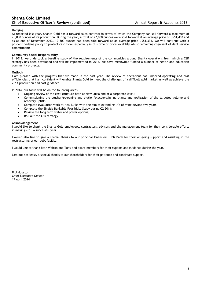#### **Hedging**

As reported last year, Shanta Gold has a forward sales contract in terms of which the Company can sell forward a maximum of 25,000 ounces of its production. During the year, a total of 27,000 ounces were sold forward at an average price of US\$1,402 and as at end of December 2013, 19,500 ounces had been sold forward at an average price US\$1,331. We will continue with a prudent hedging policy to protect cash flows especially in this time of price volatility whilst remaining cognisant of debt service commitments.

### **Community Social Responsibility**

In 2013, we undertook a baseline study of the requirements of the communities around Shanta operations from which a CSR strategy has been developed and will be implemented in 2014. We have meanwhile funded a number of health and education community projects.

#### **Outlook**

I am pleased with the progress that we made in the past year. The review of operations has unlocked operating and cost efficiencies that I am confident will enable Shanta Gold to meet the challenges of a difficult gold market as well as achieve the 2014 production and cost guidance.

In 2014, our focus will be on the following areas:

- Ongoing review of the cost structure both at New Luika and at a corporate level;
- Commissioning the crusher/screening and elution/electro-winning plants and realisation of the targeted volume and recovery uplifts;
- Complete evaluation work at New Luika with the aim of extending life of mine beyond five years;
- Complete the Singida Bankable Feasibility Study during Q2 2014;
- Review the long term water and power options;
- Roll out the CSR strategy.

#### **Acknowledgement**

I would like to thank the Shanta Gold employees, contractors, advisors and the management team for their considerable efforts in making 2013 a successful year.

I would also like to give a special thanks to our principal financiers, FBN Bank for their on-going support and assisting in the restructuring of our debt facility.

I would like to thank both Walton and Tony and board members for their support and guidance during the year.

Last but not least, a special thanks to our shareholders for their patience and continued support.

**M J Houston** Chief Executive Officer 17 April 2014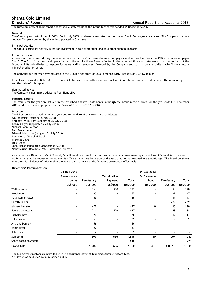# **Shanta Gold Limited**

The Directors present their report and financial statements of the Group for the year ended 31 December 2013.

#### **General**

The Company was established in 2005. On 11 July 2005, its shares were listed on the London Stock Exchange's AIM market. The Company is a noncellular Company limited by shares incorporated in Guernsey.

#### **Principal activity**

The Group's principal activity is that of investment in gold exploration and gold production in Tanzania.

#### **Business review**

A review of the business during the year is contained in the Chairman's statement on page 2 and in the Chief Executive Officer's review on pages 3 to 5. The Group's business and operations and the results thereof are reflected in the attached financial statements. It is the business of the Group and its subsidiaries to explore for value adding resources, financed by the Company and to turn commercially viable findings into a mineral production asset.

The activities for the year have resulted in the Group's net profit of US\$0.8 million (2012: net loss of US\$14.7 million)

Except as disclosed in Note 30 to the financial statements, no other material fact or circumstance has occurred between the accounting date and the date of this report.

#### **Nominated advisor**

The Company's nominated advisor is Peel Hunt LLP.

#### **Financial results**

The results for the year are set out in the attached financial statements. Although the Group made a profit for the year ended 31 December 2013 no dividends were proposed by the Board of Directors (2012: US\$Nil).

#### **Directors**

The Directors who served during the year and to the date of this report are as follows: Walton Imrie (resigned 20 May 2013) Anthony PW Durrant (appointed 20 May 2013) Robin A Fryer (appointed 29 July 2013) Michael John Houston Paul David Heber Edward Johnstone (resigned 31 July 2013) Ketankumar Vinubhai Patel Nicholas Davis Luke Leslie John Rickus (appointed 20 December 2013) Maheshkumar Raojibhai Patel (Alternate Director)

As an alternate Director to Mr. K V Patel, Mr M R Patel is allowed to attend and vote at any board meeting at which Mr. K V Patel is not present. No Director shall be requested to vacate his office at any time by reason of the fact that he has attained any specific age. The Board considers that there is a balance of skills within the Board and that each of the Directors contributes effectively.

#### **Directors' Remuneration**

|                         | 31-Dec-2013 |             |                          |              | 31-Dec-2012  |             |              |
|-------------------------|-------------|-------------|--------------------------|--------------|--------------|-------------|--------------|
|                         | Performance |             | <b>Termination</b>       |              | Performance  |             |              |
|                         | bonus       | Fees/salary | Payment                  | <b>Total</b> | <b>Bonus</b> | Fees/salary | <b>Total</b> |
|                         | US\$'000    | US\$'000    | US\$'000                 | US\$'000     | US\$'000     | US\$'000    | US\$'000     |
| Walton Imrie            |             | 163         | 410                      | 573          |              | 390         | 390          |
| Paul Heber              |             | 65          | $\overline{\phantom{a}}$ | 65           |              | 47          | 47           |
| Ketankumar Patel        |             | 65          | $\blacksquare$           | 65           |              | 47          | 47           |
| Gareth Taylor           |             |             |                          |              |              | 289         | 289          |
| Michael Houston         |             | 477         |                          | 477          | 40           | 140         | 180          |
| <b>Edward Johnstone</b> | ٠           | 211         | 226                      | 437          |              | 68          | 68           |
| Nicholas Davis*         |             | 78          | $\overline{\phantom{a}}$ | 78           |              | 17          | 17           |
| Luke Leslie             |             | 65          |                          | 65           |              | 9           | 9            |
| Anthony Durrant         |             | 56          |                          | 56           |              |             |              |
| Robin Fryer             |             | 27          | $\blacksquare$           | 27           |              |             |              |
| John Rickus             |             | 2           |                          | 2            |              |             |              |
| Sub-total               |             | 1,209       | 636                      | 1,845        | 40           | 1,007       | 1,047        |
| Share based payments    |             |             | $\blacksquare$           | 515          |              |             | 291          |
| <b>Grand Total</b>      |             | 1,209       | 636                      | 2,360        | 40           | 1,007       | 1,338        |

The Executive Directors are provided with life assurance cover of four times their Directors' fees.

\* N Davis was paid US\$13,000 relating to 2012.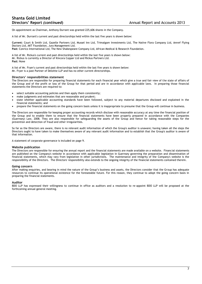On appointment as Chairman, Anthony Durrant was granted 225,606 shares in the Company.

A list of Mr. Durrant's current and past directorships held within the last five years is shown below:

**Current:** Court & Smith Ltd, Gazelle Partners Ltd, Mussel Inn Ltd, Trimalgam Investments Ltd, The Native Flora Company Ltd, Amref Flying Doctors Ltd, AKT Foundation, Jura Management Ltd. Past: Conrico International Ltd, The New Shakespeare Company Ltd, African Medical & Research Foundation.

A list of Mr. Rickus's current and past directorships held within the last five years is shown below: Mr. Rickus is currently a Director of Kincora Copper Ltd and Rickus Partners Ltd. **Past:** None

A list of Mr. Fryer's current and past directorships held within the last five years is shown below: Mr. Fryer is a past Partner of Deloitte LLP and has no other current directorships.

#### **Directors' responsibilities statement**

The Directors are responsible for preparing financial statements for each financial year which give a true and fair view of the state of affairs of the Group and of the profit or loss of the Group for that period and are in accordance with applicable laws. In preparing those financial statements the Directors are required to:

- select suitable accounting policies and then apply them consistently;
- make judgments and estimates that are reasonable and prudent;
- state whether applicable accounting standards have been followed, subject to any material departures disclosed and explained in the financial statements; and
- prepare the financial statements on the going concern basis unless it is inappropriate to presume that the Group will continue in business.

The Directors are responsible for keeping proper accounting records which disclose with reasonable accuracy at any time the financial position of the Group and to enable them to ensure that the financial statements have been properly prepared in accordance with the Companies (Guernsey) Law, 2008. They are also responsible for safeguarding the assets of the Group and hence for taking reasonable steps for the prevention and detection of fraud and other irregularities.

So far as the Directors are aware, there is no relevant audit information of which the Group's auditor is unaware; having taken all the steps the Directors ought to have taken to make themselves aware of any relevant audit information and to establish that the Group's auditor is aware of that information.

A statement of corporate governance is included on page 9.

#### **Website publication**

The Directors are responsible for ensuring the annual report and the financial statements are made available on a website. Financial statements are published on the Company's website in accordance with applicable legislation in Guernsey governing the preparation and dissemination of financial statements, which may vary from legislation in other jurisdictions. The maintenance and integrity of the Company's website is the responsibility of the Directors. The Directors' responsibility also extends to the ongoing integrity of the financial statements contained therein.

#### **Going concern**

After making enquiries, and bearing in mind the nature of the Group's business and assets, the Directors consider that the Group has adequate resources to continue its operational existence for the foreseeable future. For this reason, they continue to adopt the going concern basis in preparing the financial statements.

#### **Auditor**

BDO LLP has expressed their willingness to continue in office as auditors and a resolution to re-appoint BDO LLP will be proposed at the forthcoming annual general meeting.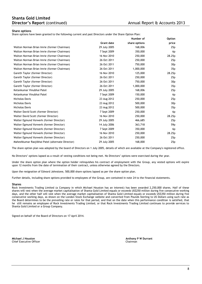#### **Share options**

Share options have been granted to the following current and past Directors under the Share Option Plan:

|                                                  |                   | Number of     | <b>Option</b>   |
|--------------------------------------------------|-------------------|---------------|-----------------|
|                                                  | <b>Grant date</b> | share options | price           |
| Walton Norman Brian Imrie (former Chairman)      | 29 July 2005      | 168,006       | 25p             |
| Walton Norman Brian Imrie (former Chairman)      | 7 Sept 2009       | 350,000       | 6p              |
| Walton Norman Brian Imrie (former Chairman)      | 16 Nov 2010       | 250,000       | 28.25p          |
| Walton Norman Brian Imrie (former Chairman)      | 26 Oct 2011       | 250,000       | 25p             |
| Walton Norman Brian Imrie (former Chairman)      | 26 Oct 2011       | 750,000       | 30 <sub>p</sub> |
| Walton Norman Brian Imrie (former Chairman)      | 26 Oct 2011       | 1,000,000     | 35p             |
| Gareth Taylor (former Director)                  | 16 Nov 2010       | 125,000       | 28.25p          |
| Gareth Taylor (former Director)                  | 26 Oct 2011       | 250,000       | 25p             |
| Gareth Taylor (former Director)                  | 26 Oct 2011       | 750,000       | 30 <sub>p</sub> |
| Gareth Taylor (former Director)                  | 26 Oct 2011       | 1,000,000     | 35p             |
| Ketankumar Vinubhai Patel                        | 29 July 2005      | 168,006       | 25p             |
| Ketankumar Vinubhai Patel                        | 7 Sept 2009       | 150,000       | 6p              |
| <b>Nicholas Davis</b>                            | 23 Aug 2012       | 250,000       | 25p             |
| <b>Nicholas Davis</b>                            | 23 Aug 2012       | 500,000       | 30 <sub>p</sub> |
| <b>Nicholas Davis</b>                            | 23 Aug 2012       | 500,000       | 35p             |
| Walter David Scott (former Director)             | 7 Sept 2009       | 250,000       | 6 <sub>D</sub>  |
| Walter David Scott (former Director)             | 16 Nov 2010       | 250,000       | 28.25p          |
| Walter Egmund Vorwerk (former Director)          | 29 July 2005      | 466,685       | 25p             |
| Walter Egmund Vorwerk (former Director)          | 14 July 2006      | 363,718       | 59 <sub>p</sub> |
| Walter Egmund Vorwerk (former Director)          | 7 Sept 2009       | 350,000       | 6p              |
| Walter Egmund Vorwerk (former Director)          | 16 Nov 2010       | 250,000       | 28.25p          |
| Walter Egmund Vorwerk (former Director)          | 26 Oct 2011       | 250,000       | 25p             |
| Maheshkumar Raojibhai Patel (alternate Director) | 29 July 2005      | 168,000       | 25p             |

The share option plan was adopted by the board of Directors on 1 July 2005, details of which are available at the Company's registered office.

No Directors' options lapsed as a result of vesting conditions not being met. No Directors' options were exercised during the year.

Under the share option plan where the option holder relinquishes his contract of employment with the Group, any vested options will expire upon 12 months from the date of termination of their contract, unless otherwise agreed by the Directors.

Upon the resignation of Edward Johnstone, 500,000 share options lapsed as per the share option plan.

Further details, including share options provided to employees of the Group, are contained in note 24 to the financial statements.

#### **Shares**

Rock Investments Trading Limited (a Company in which Michael Houston has an interest) has been awarded 2,250,000 shares. Half of these shares will vest when the average market capitalisation of Shanta Gold Limited equals or exceeds US\$250 million during five consecutive working days, and the other half will vest when the average market capitalisation of Shanta Gold Limited equals or exceeds US\$350 million during five consecutive working days, as shown on the London Stock Exchange website and converted from Pounds Sterling to US Dollars using such rate as the Board determines to be the prevailing rate or rates for that period, and that on the date when this performance condition is satisfied, that he still remains an employee of Rock Investments Trading Limited, or that Rock Investments Trading Limited continues to provide services to Shanta Gold Limited or a Group Company.

Signed on behalf of the Board of Directors on 17 April 2014.

Chief Executive Officer

**Michael J Houston Anthony P W Durrant**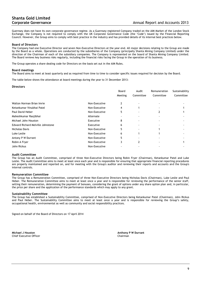Guernsey does not have its own corporate governance regime. As a Guernsey-registered Company traded on the AIM Market of the London Stock Exchange, the Company is not required to comply with the UK Corporate Governance Code (the 'Code') issued by the Financial Reporting Council. However, the Group aims to comply with best practice in the industry and has provided details of its internal best practices below.

#### **Board of Directors**

The Company had one Executive Director and seven Non-Executive Directors at the year end. All major decisions relating to the Group are made by the Board as a whole. Operations are conducted by the subsidiaries of the Company (principally Shanta Mining Company Limited) under the direction of the Chairman of each of the subsidiary companies. The Company is represented on the board of Shanta Mining Company Limited. The Board reviews key business risks regularly, including the financial risks facing the Group in the operation of its business.

The Group operates a share dealing code for Directors on the basis set out in the AIM Rules.

#### **Board meetings**

The Board aims to meet at least quarterly and as required from time to time to consider specific issues required for decision by the Board.

The table below shows the attendance at board meetings during the year to 31 December 2013:

#### **Directors**

|                                          |               | Board   | Audit<br>Committee       | Remuneration<br>Committee | Sustainability<br>Committee |  |
|------------------------------------------|---------------|---------|--------------------------|---------------------------|-----------------------------|--|
|                                          |               | Meeting |                          |                           |                             |  |
| Walton Norman Brian Imrie                | Non-Executive | 2       | $\overline{\phantom{a}}$ |                           |                             |  |
| Ketankumar Vinubhai Patel                | Non-Executive | 4       |                          |                           |                             |  |
| Paul David Heber                         | Non-Executive | 5       |                          |                           |                             |  |
| Maheshkumar Raojibhai                    | Alternate     |         |                          |                           |                             |  |
| Michael John Houston                     | Executive     | 8       |                          |                           |                             |  |
| <b>Edward Richard Melville Johnstone</b> | Executive     | 6       |                          |                           |                             |  |
| Nicholas Davis                           | Non-Executive | 5       |                          |                           |                             |  |
| Luke Leslie                              | Non-Executive | 6       |                          |                           |                             |  |
| Antony P W Durrant                       | Non-Executive | 5       |                          |                           |                             |  |
| Robin A Fryer                            | Non-Executive | 3       | $\mathcal{P}$            |                           |                             |  |
| John Rickus                              | Non-Executive |         |                          |                           |                             |  |
|                                          |               |         |                          |                           |                             |  |

#### **Audit Committee**

The Group has an Audit Committee, comprised of three Non-Executive Directors being Robin Fryer (Chairman), Ketankumar Patel and Luke Leslie. The Audit Committee aims to meet at least once each year and is responsible for ensuring that appropriate financial reporting procedures are properly maintained and reported on, and for meeting with the Group's auditor and reviewing their reports and accounts and the Group's internal controls.

#### **Remuneration Committee**

The Group has a Remuneration Committee, comprised of three Non-Executive Directors being Nicholas Davis (Chairman), Luke Leslie and Paul Heber. The Remuneration Committee aims to meet at least once a year and is responsible for reviewing the performance of the senior staff, setting their remuneration, determining the payment of bonuses, considering the grant of options under any share option plan and, in particular, the price per share and the application of the performance standards which may apply to any grant.

#### **Sustainability Committee**

The Group has established a Sustainability Committee, comprised of Non-Executive Directors being Ketankumar Patel (Chairman), John Rickus and Paul Heber. The Sustainability Committee aims to meet at least once a year and is responsible for reviewing the Group's safety, occupational health, environmental as well as community and social responsibility practices.

Signed on behalf of the Board of Directors on 17 April 2014

**Michael J Houston Anthony P W Durrant** Chief Executive Officer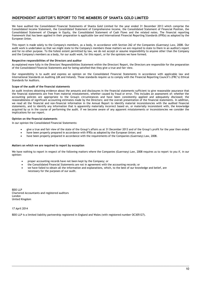### **INDEPENDENT AUDITOR'S REPORT TO THE MEMBERS OF SHANTA GOLD LIMITED**

We have audited the Consolidated Financial Statements of Shanta Gold Limited for the year ended 31 December 2013 which comprise the Consolidated Income Statement, the Consolidated Statement of Comprehensive Income, the Consolidated Statement of Financial Position, the Consolidated Statement of Changes in Equity, the Consolidated Statement of Cash Flows and the related notes. The financial reporting framework that has been applied in their preparation is applicable law and International Financial Reporting Standards (IFRSs) as adopted by the European Union.

This report is made solely to the Company's members, as a body, in accordance with Section 262 of the Companies (Guernsey) Law, 2008. Our audit work is undertaken so that we might state to the Company's members those matters we are required to state to them in an auditor's report and for no other purpose. To the fullest extent permitted by law, we do not accept or assume responsibility to anyone other than the Company and the Company's members as a body, for our audit work, for this report, or for the opinions we have formed.

#### **Respective responsibilities of the Directors and auditor**

As explained more fully in the Directors' Responsibilities Statement within the Directors' Report, the Directors are responsible for the preparation of the Consolidated Financial Statements and for being satisfied that they give a true and fair view.

Our responsibility is to audit and express an opinion on the Consolidated Financial Statements in accordance with applicable law and International Standards on Auditing (UK and Ireland). Those standards require us to comply with the Financial Reporting Council's (FRC's) Ethical Standards for Auditors.

#### **Scope of the audit of the financial statements**

An audit involves obtaining evidence about the amounts and disclosures in the financial statements sufficient to give reasonable assurance that the financial statements are free from material misstatement, whether caused by fraud or error. This includes an assessment of: whether the accounting policies are appropriate to the Group's circumstances and have been consistently applied and adequately disclosed; the reasonableness of significant accounting estimates made by the Directors; and the overall presentation of the financial statements. In addition, we read all the financial and non-financial information in the Annual Report to identify material inconsistencies with the audited financial statements, and to identify any information that is apparently materially incorrect based on, or materially inconsistent with, the knowledge acquired by us in the course of performing the audit. If we become aware of any apparent misstatements or inconsistencies we consider the implications for our report.

#### **Opinion on the financial statements**

In our opinion the Consolidated Financial Statements:

- give a true and fair view of the state of the Group's affairs as at 31 December 2013 and of the Group's profit for the year then ended
- have been properly prepared in accordance with IFRSs as adopted by the European Union; and
- have been properly prepared in accordance with the requirements of the Companies (Guernsey) Law, 2008.

#### **Matters on which we are required to report by exception**

We have nothing to report in respect of the following matters where the Companies (Guernsey) Law, 2008 requires us to report to you if, in our opinion:

\_\_\_\_\_\_\_\_\_\_\_\_\_\_\_\_\_\_\_\_\_\_\_\_\_\_\_\_\_\_\_\_\_\_\_\_\_\_\_\_\_\_\_\_\_\_\_\_\_\_\_\_\_\_\_\_\_\_\_\_\_\_\_\_\_\_\_\_\_\_\_\_\_\_\_\_\_\_\_\_\_\_\_\_\_\_\_\_\_\_\_\_\_\_\_\_\_\_\_\_\_\_\_\_\_\_\_\_\_\_\_\_\_\_\_\_\_\_\_\_\_\_\_\_\_

- proper accounting records have not been kept by the Company; or
- the Consolidated Financial Statements are not in agreement with the accounting records; or
- we have failed to obtain all the information and explanations, which, to the best of our knowledge and belief, are necessary for the purposes of our audit.

BDO LLP Chartered Accountants and registered auditors London United Kingdom

17 April 2014

BDO LLP is a limited liability partnership registered in England and Wales (with registered number OC305127).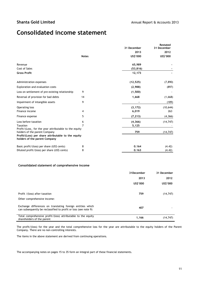# **Consolidated income statement**

|                                                                                        |              | 31 December<br>2013 | Restated<br>31 December<br>2012 |
|----------------------------------------------------------------------------------------|--------------|---------------------|---------------------------------|
|                                                                                        | <b>Notes</b> | US\$'000            | US\$'000                        |
| Revenue                                                                                |              | 65,989              |                                 |
| Cost of Sales                                                                          |              | (53, 816)           |                                 |
| <b>Gross Profit</b>                                                                    |              | 12,173              |                                 |
| Administration expenses                                                                |              | (12, 525)           | (7, 890)                        |
| Exploration and evaluation costs                                                       |              | (2,988)             | (897)                           |
| Loss on settlement of pre-existing relationship                                        | 9            | (1,500)             |                                 |
| Reversal of provision for bad debts                                                    | 14           | 1,668               | (1,668)                         |
| Impairment of intangible assets                                                        | 9            |                     | (189)                           |
| Operating loss                                                                         |              | (3, 172)            | (10, 644)                       |
| Finance income                                                                         | 4            | 6,019               | 263                             |
| Finance expense                                                                        | 5            | (7, 213)            | (4, 366)                        |
| Loss before taxation                                                                   | 6            | (4, 366)            | (14, 747)                       |
| Taxation                                                                               |              | 5,125               |                                 |
| Profit/(Loss_ for the year attributable to the equity<br>holders of the parent Company |              | 759                 | (14, 747)                       |
| Profit/(Loss) per share attributable to the equity<br>holders of the parent Company    |              |                     |                                 |
| Basic profit/(loss) per share (US\$ cents)                                             | 8            | 0.164               | (4.42)                          |
| Diluted profit/(loss) per share (US\$ cents)                                           | 8            | 0.163               | (4.42)                          |

### **Consolidated statement of comprehensive income**

|                                                                                                                               | 31December | 31 December |
|-------------------------------------------------------------------------------------------------------------------------------|------------|-------------|
|                                                                                                                               | 2013       | 2012        |
|                                                                                                                               | US\$'000   | US\$'000    |
| Profit / (loss) after taxation<br>Other comprehensive income:                                                                 | 759        | (14, 747)   |
| Exchange differences on translating foreign entities which<br>can subsequently be reclassified to profit or loss (see note 9) | 407        |             |
| Total comprehensive profit/(loss) attributable to the equity<br>shareholders of the parent                                    | 1,166      | (14, 747)   |

The profit/(loss) for the year and the total comprehensive loss for the year are attributable to the equity holders of the Parent Company. There are no non-controlling interests.

The items in the above statement are derived from continuing operations.

The accompanying notes on pages 15 to 35 form an integral part of these financial statements.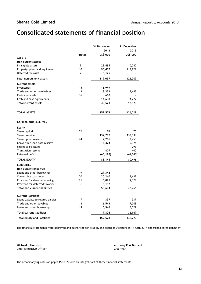# **Consolidated statements of financial position**

|                                      |                | 31 December | 31 December |
|--------------------------------------|----------------|-------------|-------------|
|                                      |                | 2013        | 2012        |
|                                      | <b>Notes</b>   | US\$'000    | US\$'000    |
| <b>ASSETS</b>                        |                |             |             |
| Non-current assets                   |                |             |             |
| Intangible assets                    | 9              | 23,495      | 10,380      |
| Property, plant and equipment        | 10             | 90,437      | 112,929     |
| Deferred tax asset                   | $\overline{7}$ | 5,125       |             |
| Total non-current assets             |                | 119,057     | 123,309     |
| <b>Current assets</b>                |                |             |             |
| Inventories                          | 15             | 16,949      |             |
| Trade and other receivables          | 13             | 8,334       | 8,643       |
| Restricted cash                      | 16             | 600         |             |
| Cash and cash equivalents            |                | 14,638      | 4,277       |
| <b>Total current assets</b>          |                | 40,521      | 12,920      |
|                                      |                |             |             |
| <b>TOTAL ASSETS</b>                  |                | 159,578     | 136,229     |
| <b>CAPITAL AND RESERVES</b>          |                |             |             |
| Equity                               |                |             |             |
| Share capital                        | 22             | 76          | 75          |
| Share premium                        |                | 132,797     | 132,139     |
| Share option reserve                 | 24             | 4,286       | 3,258       |
| Convertible loan note reserve        |                | 5,374       | 5,374       |
| Shares to be issued                  |                |             | 293         |
| <b>Translation reserve</b>           |                | 807         | 400         |
| Retained deficit                     |                | (60, 192)   | (61, 043)   |
| <b>TOTAL EQUITY</b>                  |                | 83,148      | 80,496      |
| <b>LIABILITIES</b>                   |                |             |             |
| Non-current liabilities              |                |             |             |
| Loans and other borrowings           | 19             | 27,342      |             |
| Convertible loan notes               | 20             | 20,240      | 18,637      |
| Provision for decommissioning        | 21             | 5,825       | 4,129       |
| Provision for deferred taxation      | 9              | 5,197       |             |
| <b>Total non-current liabilities</b> |                | 58,604      | 22,766      |
| <b>Current liabilities</b>           |                |             |             |
| Loans payable to related parties     | 17             | 337         | 337         |
| Trade and other payables             | 18             | 6,543       | 17,308      |
| Loans and other borrowings           | 19             | 10,946      | 15,322      |
| <b>Total current liabilities</b>     |                | 17,826      | 32,967      |
| Total equity and liabilities         |                | 159,578     | 136,229     |

The financial statements were approved and authorised for issue by the board of Directors on 17 April 2014 and signed on its behalf by:

**Michael J Houston Anthony P W Durrant** Chief Executive Officer

The accompanying notes on pages 15 to 35 form an integral part of these financial statements.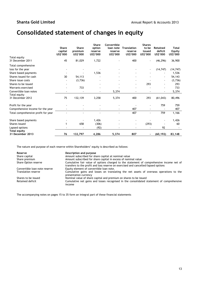# **Consolidated statement of changes in equity**

|                                         | Share<br>capital<br>US\$'000 | Share<br>premium<br>US\$'000 | Share<br>option<br>reserve<br>US\$'000 | Convertible<br>loan note<br>reserve<br>US\$'000 | <b>Translation</b><br>reserve<br>US\$'000 | <b>Shares</b><br>to be<br>issued<br>US\$'000 | Retained<br>deficit<br>US\$'000 | <b>Total</b><br><b>Equity</b><br>US\$'000 |
|-----------------------------------------|------------------------------|------------------------------|----------------------------------------|-------------------------------------------------|-------------------------------------------|----------------------------------------------|---------------------------------|-------------------------------------------|
| Total equity<br>31 December 2011        | 45                           | 81,029                       | 1,722                                  |                                                 | 400                                       |                                              | (46, 296)                       | 36,900                                    |
| Total comprehensive                     |                              |                              |                                        |                                                 |                                           |                                              |                                 |                                           |
| loss for the year                       |                              |                              |                                        |                                                 |                                           |                                              | (14, 747)                       | (14, 747)                                 |
| Share based payments                    |                              |                              | 1,536                                  |                                                 |                                           |                                              |                                 | 1,536                                     |
| Shares issued for cash                  | 30                           | 54,113                       |                                        |                                                 |                                           |                                              | $\blacksquare$                  | 54,143                                    |
| Share issue costs                       |                              | (3,736)                      |                                        |                                                 |                                           |                                              |                                 | (3,736)                                   |
| Shares to be issued                     |                              |                              |                                        |                                                 |                                           | 293                                          |                                 | 293                                       |
| Warrants exercised                      |                              | 733                          |                                        |                                                 |                                           |                                              |                                 | 733                                       |
| Convertible loan notes                  |                              |                              |                                        | 5,374                                           |                                           |                                              |                                 | 5,374                                     |
| Total equity<br>31 December 2012        | 75                           | 132,139                      | 3,258                                  | 5,374                                           | 400                                       | 293                                          | (61, 043)                       | 80,496                                    |
| Profit for the year                     |                              |                              |                                        |                                                 |                                           |                                              | 759                             | 759                                       |
| Comprehensive income for the year       |                              |                              |                                        |                                                 | 407                                       |                                              |                                 | 407                                       |
| Total comprehensive profit for year     |                              |                              |                                        |                                                 | 407                                       |                                              | 759                             | 1,166                                     |
| Share based payments                    |                              |                              | 1,426                                  |                                                 |                                           |                                              |                                 | 1,426                                     |
| Shares issued                           |                              | 658                          | (306)                                  |                                                 |                                           | (293)                                        |                                 | 60                                        |
| Lapsed options                          |                              |                              | (92)                                   |                                                 |                                           |                                              | 92                              |                                           |
| <b>Total equity</b><br>31 December 2013 | 76                           | 132,797                      | 4,286                                  | 5,374                                           | 807                                       |                                              | (60, 192)                       | 83,148                                    |

The nature and purpose of each reserve within Shareholders' equity is described as follows:

| Reserve                       | Description and purpose                                                                                                                                                        |
|-------------------------------|--------------------------------------------------------------------------------------------------------------------------------------------------------------------------------|
| Share capital                 | Amount subscribed for share capital at nominal value                                                                                                                           |
| Share premium                 | Amount subscribed for share capital in excess of nominal value                                                                                                                 |
| Share Option reserve          | Cumulative fair value of options charged to the statement of comprehensive income net of<br>transfers to the profit and loss reserve on exercised and cancelled/lapsed options |
| Convertible loan note reserve | Equity element of convertible loan note.                                                                                                                                       |
| Translation reserve           | Cumulative gains and losses on translating the net assets of overseas operations to the<br>presentation currency                                                               |
| Shares to be issued           | Nominal value of share capital and premium on shares to be issued                                                                                                              |
| Retained deficit              | Cumulative net gains and losses recognised in the consolidated statement of comprehensive<br>income                                                                            |

The accompanying notes on pages 15 to 35 form an integral part of these financial statements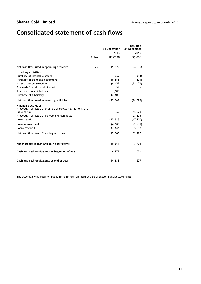# **Consolidated statement of cash flows**

|                                                                                                                                                                             | <b>Notes</b> | 31 December<br>2013<br>US\$'000 | Restated<br>31 December<br>2012<br>US\$'000 |
|-----------------------------------------------------------------------------------------------------------------------------------------------------------------------------|--------------|---------------------------------|---------------------------------------------|
| Net cash flows used in operating activities                                                                                                                                 | 25           | 19,529                          | (4, 330)                                    |
| <b>Investing activities</b>                                                                                                                                                 |              |                                 |                                             |
| Purchase of intangible assets                                                                                                                                               |              | (62)                            | (43)                                        |
| Purchase of plant and equipment                                                                                                                                             |              | (10, 185)                       | (1, 171)                                    |
| Asset under construction                                                                                                                                                    |              | (9, 452)                        | (73, 471)                                   |
| Proceeds from disposal of asset                                                                                                                                             |              | 31                              |                                             |
| Transfer to restricted cash                                                                                                                                                 |              | (600)                           |                                             |
| Purchase of subsidiary                                                                                                                                                      |              | (2,400)                         |                                             |
| Net cash flows used in investing activities                                                                                                                                 |              | (22, 668)                       | (74, 685)                                   |
| <b>Financing activities</b><br>Proceeds from issue of ordinary share capital (net of share<br>issue costs)<br>Proceeds from issue of convertible loan notes<br>Loans repaid |              | 60<br>(15, 323)                 | 45,078<br>23,375<br>(17,900)                |
| Loan interest paid                                                                                                                                                          |              | (4, 683)                        | (2,931)                                     |
| Loans received                                                                                                                                                              |              | 33,446                          | 35,098                                      |
| Net cash flows from financing activities                                                                                                                                    |              | 13,500                          | 82,720                                      |
| Net increase in cash and cash equivalents                                                                                                                                   |              | 10,361                          | 3,705                                       |
| Cash and cash equivalents at beginning of year                                                                                                                              |              | 4,277                           | 572                                         |
| Cash and cash equivalents at end of year                                                                                                                                    |              | 14,638                          | 4,277                                       |

The accompanying notes on pages 15 to 35 form an integral part of these financial statements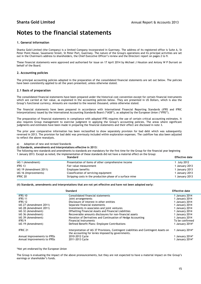# **Notes to the financial statements**

#### **1. General information**

Shanta Gold Limited (the Company) is a limited Company incorporated in Guernsey. The address of its registered office is Suite A, St Peter Point House, Sausmarez Street, St Peter Port, Guernsey. The nature of the Group's operations and its principal activities are set out in the Chairman's address to shareholders, the Chief Executive Officer's review and the Directors' report on pages 2 to 9.

These financial statements were approved and authorised for issue on 17 April 2014 by Michael J Houston and Antony W P Durrant on behalf of the Board.

#### **2. Accounting policies**

The principal accounting policies adopted in the preparation of the consolidated financial statements are set out below. The policies have been consistently applied to all the years presented, unless otherwise stated.

#### **2.1 Basis of preparation**

The consolidated financial statements have been prepared under the historical cost convention except for certain financial instruments which are carried at fair value, as explained in the accounting policies below. They are presented in US Dollars, which is also the Group's functional currency. Amounts are rounded to the nearest thousand, unless otherwise stated.

The financial statements have been prepared in accordance with International Financial Reporting Standards (IFRS and IFRIC Interpretations) issued by the International Accounting Standards Board ("IASB"), as adopted by the European Union ("IFRS").

The preparation of financial statements in compliance with adopted IFRS requires the use of certain critical accounting estimates. It also requires Group management to exercise judgment in applying the Group's accounting policies. The areas where significant judgments and estimates have been made in preparing the financial statements and their effect are disclosed in note 3.

The prior year comparative information has been reclassified to show separately provision for bad debt which was subsequently reversed in 2013. The provision for bad debt was previously included within exploration expenses. The cashflow has also been adjusted to reflect the above reanalysis.

#### a) Adoption of new and revised Standards

#### **(i) Standards, amendments and interpretations effective in 2013:**

The following new standards and amendments to standards are mandatory for the first time for the Group for the financial year beginning 1 January 2013. Except as noted, the implementation of these standards did not have a material effect on the Group:

|                         | Standard                                                  | <b>Effective date</b> |
|-------------------------|-----------------------------------------------------------|-----------------------|
| IAS 1 (Amendment)       | Presentation of items of other comprehensive income       | July 2012             |
| IFRS 13                 | Fair value measurement                                    | 1 January 2013        |
| IAS 19 (Amendment 2011) | Employee benefits                                         | 1 January 2013        |
| IAS 16 (Improvements)   | Classification of servicing equipment                     | 1 January 2013        |
| <b>IFRIC 20</b>         | Stripping costs in the production phase of a surface mine | 1 January 2013        |

#### **(ii) Standards, amendments and interpretations that are not yet effective and have not been adopted early:**

|                              | <b>Standard</b>                                                                                                                           | <b>Effective date</b> |
|------------------------------|-------------------------------------------------------------------------------------------------------------------------------------------|-----------------------|
| IFRS 10                      | Consolidated financial statements                                                                                                         | 1 January 2014        |
| IFRS 11                      | Joint arrangements                                                                                                                        | 1 January 2014        |
| IFRS 12                      | Disclosure of interest in other entities                                                                                                  | 1 January 2014        |
| IAS 27 (Amendment 2011)      | Separate financial statements                                                                                                             | 1 January 2014        |
| IAS 28 (Amendment 2011)      | Investments in associates and joint ventures                                                                                              | 1 January 2014        |
| IAS 32 (Amendment)           | Offsetting Financial Assets and Financial Liabilities                                                                                     | 1 January 2014        |
| IAS 36 (Amendment)           | Recoverable amounts disclosures for non-financial assets                                                                                  | 1 January 2014        |
| IAS 39 (Amendment)           | Novation of Derivatives and Continuation of Hedge Accounting                                                                              | 1 January 2014        |
| <b>IFRS 9</b>                | <b>Financial Instruments</b>                                                                                                              | To be confirmed       |
| IAS 19 (Amendment)           | Defined Benefit Plans: Employee Contributions                                                                                             | 1 January 2014*       |
| <b>IFRIC 21</b>              | Interpretation of IAS 37 Provisions, Contingent Liabilities and Contingent Assets on<br>the accounting for levies imposed by governments. | 1 January 2014*       |
| Annual Improvements to IFRSs | 2010-2012 Cycle                                                                                                                           | January 2014*         |
| Annual Improvements to IFRSs | 2011-2013 Cycle                                                                                                                           | January 2014*         |

\*Not yet endorsed by the European Union

The Group is evaluating the impact of the above pronouncements, but they are not expected to have a material impact on the Group's earnings or shareholder's funds.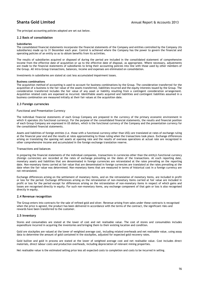The principal accounting policies adopted are set out below.

#### **2.2 Basis of consolidation**

#### **Subsidiaries**

The consolidated financial statements incorporate the financial statements of the Company and entities controlled by the Company (its subsidiaries) made up to 31 December each year. Control is achieved where the Company has the power to govern the financial and operating policies of an entity so as to obtain benefits from its activities.

The results of subsidiaries acquired or disposed of during the period are included in the consolidated statement of comprehensive income from the effective date of acquisition or up to the effective date of disposal, as appropriate. Where necessary, adjustments are made to the financial statements of subsidiaries to bring their accounting policies into line with those used by other members of the Group. All intra-Group transactions, balances, income and expenses are eliminated on consolidation.

Investments in subsidiaries are stated at cost less accumulated impairment losses.

#### **Business combinations**

The acquisition method of accounting is used to account for business combinations by the Group. The consideration transferred for the acquisition of a business is the fair value of the assets transferred, liabilities incurred and the equity interests issued by the Group. The consideration transferred includes the fair value of any asset or liability resulting from a contingent consideration arrangement. Acquisition related costs are expensed as incurred. Identifiable assets acquired and liabilities and contingent liabilities assumed in a business combination are measured initially at their fair values at the acquisition date.

#### **2.3 Foreign currencies**

#### Functional and Presentation Currency

The individual financial statements of each Group Company are prepared in the currency of the primary economic environment in which it operates (its functional currency). For the purpose of the consolidated financial statements, the results and financial position of each Group Company are expressed in US dollars, which is the functional currency of the Company and the presentation currency for the consolidated financial statements.

Assets and liabilities of foreign entities (i.e. those with a functional currency other than US\$) are translated at rates of exchange ruling at the financial year end and the results at rates approximating to those ruling when the transactions took place. Exchange differences arising on translating the opening net assets at opening rate and the results of overseas operations at actual rate are recognized in other comprehensive income and accumulated in the foreign exchange translation reserve.

#### Transactions and balances

In preparing the financial statements of the individual companies, transactions in currencies other than the entity's functional currency (foreign currencies) are recorded at the rates of exchange prevailing on the dates of the transactions. At each reporting date, monetary assets and liabilities that are denominated in foreign currencies are retranslated at the rates prevailing on the reporting date. Non-monetary items carried at fair value that are denominated in foreign currencies are translated at the rates prevailing at the date when the fair value was determined. Non-monetary items that are measured in terms of historical cost in a foreign currency are not retranslated.

Exchange differences arising on the settlement of monetary items, and on the retranslation of monetary items, are included in profit or loss for the period. Exchange differences arising on the retranslation of non-monetary items carried at fair value are included in profit or loss for the period except for differences arising on the retranslation of non-monetary items in respect of which gains and losses are recognised directly in equity. For such non-monetary items, any exchange component of that gain or loss is also recognised directly in equity.

### **2.4 Revenue recognition**

The Group enters into contracts for the sale of refined gold and silver. Revenue arising from sales under these contracts is recognised when the price is agreed, the product has been delivered in accordance with the terms of the contract, the significant risks and rewards have been transferred to the customer.

#### **2.5 Inventory**

Stores and consumables are stated at the lower of cost and net realisable value. The cost of stores and consumables includes expenditure incurred in acquiring the inventories and bringing them to their existing location and condition.

Gold ore stockpiles are valued at the lower of weighted average cost, including related overheads and net realisable value, using assay data to determine the amount of gold contained in the stockpiles, adjusted for expected gold recovery rates.

Gold bullion and gold in process are stated at the lower of weighted average cost and net realisable value. Cost includes direct materials, direct labour costs and production overheads, including depreciation of relevant mining properties.

Net realisable value is the estimated selling price less all expected costs to completion and costs to be incurred in selling.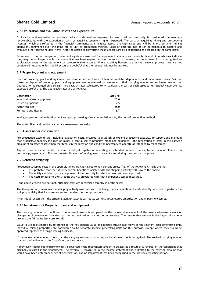#### **2.6 Exploration and evaluation assets and expenditure**

Exploration and evaluation expenditure, which is defined as expenses incurred until an ore body is considered commercially recoverable, is, with the exception of costs of acquiring tenement rights, expensed. The costs of acquiring mining and prospecting licenses, which are reflected in the financial statements as intangible assets, are capitalised and will be amortised when mining operations commence over the mine life or unit of production method. Costs of entering into option agreements to explore and evaluate other license holders' rights, with the option of converting these licenses are also capitalised and treated on the same basis.

Subsequent to initial recognition, tenement rights are assessed for impairment annually and when facts and circumstances indicate they may be no longer viable, or where licenses have expired with no intention of renewal, an impairment loss is recognised as exploration costs in the statement of comprehensive income. Where expiring licenses are in the renewal process they are not considered impaired unless the Directors are doubtful that the renewal will not be granted.

#### **2.7 Property, plant and equipment**

Items of property, plant and equipment are recorded at purchase cost less accumulated depreciation and impairment losses. Gains or losses on disposal of property, plant and equipment are determined by reference to their carrying amount and estimated useful life. Depreciation is charged on a straight-line basis at rates calculated to write down the cost of each asset to its residual value over its expected useful life. The applicable rates are as follows:

| Description                | Rates (%) |
|----------------------------|-----------|
| Mine and related equipment | 25.0      |
| Office equipment           | 12.5      |
| Motor vehicles             | 25.0      |
| Furniture and fittings     | 16.7      |

Mining properties (mine development and gold processing plant) depreciation is by the unit of production method

The useful lives and residual values are re-assessed annually.

#### **2.8 Assets under construction**

Pre-production expenditure, including evaluation costs, incurred to establish or expand productive capacity, to support and maintain that productive capacity incurred on mines is capitalised to property, plant and equipment. The recognition of costs in the carrying amount of an asset ceases when the item is in the location and condition necessary to operate as intended by management.

Any net income earned while the item is not yet capable of operating as intended, reduces the capitalised amount. Interest on borrowings, especially to finance the establishment of mining assets, is capitalised during the construction phase.

#### **2.9 Deferred Stripping**

Production stripping costs in the open pit mines are capitalised to non-current assets if all of the following criteria are met:

- It is probable that the future economic benefit associated with the stripping activity will flow to the entity;
- The entity can identify the component of the ore body for which access has been improved;
- The costs relating to the stripping activity associated with that component can be measured.

If the above criteria are not met, stripping costs are recognised directly in profit or loss.

The Group initially measures the stripping activity asset at cost, this being the accumulation of costs directly incurred to perform the stripping activity that improves access to the identified component ore.

After initial recognition, the stripping activity asset is carried at cost less accumulated amortisation and impairment losses.

#### **2.10 Impairment of Property, plant and equipment**

The carrying amount of the Group's non-current assets is compared to the recoverable amount of the assets whenever events or changes in circumstances indicate that the net book value may not be recoverable. The recoverable amount is the higher of value in use and the fair value less costs to sell.

Value in use is estimated by reference to the net present value of expected future cash flows of the relevant cash generating unit. Individual mining properties are considered to be separate income generating units for this purpose, except where they would be operated together as a single mining business.

If the recoverable amount is less than the carrying amount of an asset, an impairment loss is recognised. The revised carrying amount is amortised in line with the Group's accounting policy.

A previously recognised impairment loss is reversed if the recoverable amount increases as a result of a reversal of the conditions that originally resulted in the impairment. The reversal is recognised in the income statement and is limited to the carrying amount that would have been determined, net of depreciation, had no impairment loss been recognised in the previous reporting period.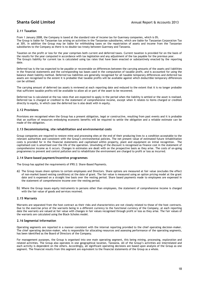### **2.11 Taxation**

From 1 January 2008, the Company is taxed at the standard rate of income tax for Guernsey companies, which is 0%. The Group is liable for Tanzanian tax arising on activities in the Tanzanian subsidiaries, which are liable for Tanzanian Corporation Tax at 30%. In addition the Group may be liable for withholding taxes on the repatriation of assets and income from the Tanzanian subsidiaries to the Company as there is no double tax treaty between Guernsey and Tanzania.

Taxation on the profit or loss for the year comprises both current and deferred taxes. Current taxation is provided for on the basis of the results for the year computed in accordance with tax legislation and any adjustment of the tax payable for the previous year. The Group's liability for current tax is calculated using tax rates that have been enacted or substantively enacted by the reporting date.

Deferred tax is the tax expected to be payable or recoverable on differences between the carrying amounts of the assets and liabilities in the financial statements and the corresponding tax bases used in the computation of taxable profit, and is accounted for using the balance sheet liability method. Deferred tax liabilities are generally recognised for all taxable temporary differences and deferred tax assets are recognised to the extent it is probable that taxable profits will be available against which deductible temporary differences can be utilised.

The carrying amount of deferred tax assets is reviewed at each reporting date and reduced to the extent that it is no longer probable that sufficient taxable profits will be available to allow all or part of the asset to be recovered.

Deferred tax is calculated at the tax rates that are expected to apply in the period when the liability is settled or the asset is realised. Deferred tax is charged or credited to the statement of comprehensive income, except when it relates to items charged or credited directly to equity, in which case the deferred tax is also dealt with in equity.

#### **2.12 Provisions**

Provisions are recognised when the Group has a present obligation, legal or constructive, resulting from past events and it is probable that an outflow of resources embodying economic benefits will be required to settle the obligation and a reliable estimate can be made of the obligation.

#### **2.13 Decommissioning, site rehabilitation and environmental costs**

Group companies are required to restore mine and processing sites at the end of their producing lives to a condition acceptable to the relevant authorities and consistent with the Group's environmental policies. The net present value of estimated future rehabilitation costs is provided for in the financial statements and capitalised within property, plant and equipment on initial recognition. The capitalised cost is amortised over the life of the operation. Unwinding of the discount is recognised as finance cost in the statement of comprehensive income as it occurs. Changes in estimates are dealt with on the prospective basis as they arise. The costs of on-going programmes to prevent and control pollution and to rehabilitate the environment are charged to profit or loss as incurred.

#### **2.14 Share-based payment/incentive programmes**

The Group has applied the requirements of IFRS 2: Share-Based Payments.

- a) The Group issues share options to certain employees and Directors. Share options are measured at fair value (excludes the effect of non-market based vesting conditions) at the date of grant. The fair value is measured using an option pricing model at the grant date and is expensed on a straight line basis over the vesting period. Share based payments made to employees are expensed in the statement of comprehensive income over the vesting period.
- b) Where the Group issues equity instruments to persons other than employees, the statement of comprehensive income is charged with the fair value of goods and services received.

#### **2.15 Warrants**

Warrants are separated from the host contract as their risks and characteristics are not closely related to those of the host contracts. Due to the exercise price of the warrants being in a different currency to the functional currency of the Company, at each reporting date the warrants are valued at fair value with changes in fair values recognised through profit or loss as they arise. The fair values of the warrants are calculated using the Black-Scholes model.

#### **2.16 Segmental information**

Operating segments are reported in a manner consistent with the internal reporting provided to the chief operating decision-maker. The chief operating decision-maker, who is responsible for allocating resources and assessing performance of the operating segments, has been identified as the Board of Directors of the Company.

For management purposes, the Group is organised into one main operating segment, this being mining, processing, exploration and related activities. The Group also operates in one geographical location, Tanzania. All of the Group's activities are interrelated and each activity is dependent on the others. Accordingly, all significant operating decisions are based upon analysis of the Group as one segment. The financial results from this segment are equivalent to the financial statements of the Group as a whole.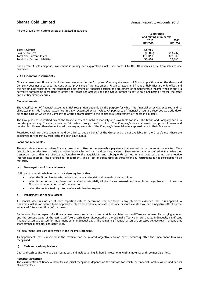### **Shanta Gold Limited Constanting Collection Annual Report & Accounts 2013**

All the Group's non-current assets are located in Tanzania.

|                                      |                  | <b>Exploration</b><br>and mining of minerals |  |
|--------------------------------------|------------------|----------------------------------------------|--|
|                                      | 2013<br>US\$'000 | 2012<br>US\$'000                             |  |
| <b>Total Revenues</b>                | 65,989           |                                              |  |
| Loss Before Tax                      | (4, 366)         | (14, 747)                                    |  |
| <b>Total Non-Current Assets</b>      | 119.057          | 123,309                                      |  |
| <b>Total Non-Current Liabilities</b> | 58,604           | 22,766                                       |  |

Non-Current Assets comprises investment in mining and exploration assets (see notes 9 to 10). All revenues arise from sales to one customer.

### **2.17 Financial instruments**

Financial assets and financial liabilities are recognised in the Group and Company statement of financial position when the Group and Company becomes a party to the contractual provisions of the instrument. Financial assets and financial liabilities are only offset and the net amount reported in the consolidated statement of financial position and statement of comprehensive income when there is a currently enforceable legal right to offset the recognised amounts and the Group intends to settle on a net basis or realise the asset and liability simultaneously.

#### *Financial assets*

The classification of financial assets at initial recognition depends on the purpose for which the financial asset was acquired and its characteristics. All financial assets are initially recognised at fair value. All purchases of financial assets are recorded at trade date, being the date on which the Company or Group became party to the contractual requirement of the financial asset.

The Group has not classified any of the financial assets as held to maturity or as available for sale. The Group and Company had also not designated any financial assets as fair value through profit or loss. The Company's financial assets comprise of loans and receivables. Unless otherwise indicated the carrying amounts of the Company's financial assets approximate to their fair values.

Restricted cash are those amounts held by third parties on behalf of the Group and are not available for the Group's use; these are accounted for separately from cash and cash equivalents.

#### **Loans and receivables**

These assets are non-derivative financial assets with fixed or determinable payments that are not quoted in an active market. They principally comprise loans, trade and other receivables and cash and cash equivalents. They are initially recognised at fair value plus transaction costs that are directly attributable to the acquisition, and subsequently carried at amortised cost using the effective interest rate method, less provision for impairment. The effect of discounting on these financial instruments is not considered to be material.

#### **a) Derecognition of financial assets**

A financial asset (in whole or in part) is derecognised either:

- when the Group has transferred substantially all the risk and rewards of ownership or,
- when it has neither transferred nor retained substantially all the risk and rewards and when it no longer has control over the financial asset or a portion of the asset; or
- when the contractual right to receive cash flow has expired.

#### **b) Impairment of financial assets**

A financial asset is assessed at each reporting date to determine whether there is any objective evidence that it is impaired. A financial asset is considered to be impaired if objective evidence indicates that one or more events have had a negative effect on the estimated future cash flows of that asset.

An impaired loss in respect of a financial asset measured at amortised cost is calculated as the difference between its carrying amount and the present value of the estimated future cash flows discounted at the original effective interest rate. Individually significant financial assets are tested for impairment on an individual basis. The remaining financial assets are assessed collectively in groups that share similar credit risk characteristics.

All impairment losses are recognised in the income statement.

An impairment loss is reversed if the reversal can be related objectively to an event occurring after the impairment loss was recognised.

#### **c) Cash and cash equivalents**

Cash and cash equivalents are carried at cost and include all highly liquid investments with a maturity of three months or less.

#### *Financial liabilities*

The classification of financial liabilities at initial recognition depends on the purpose for which the financial liability was issued and its characteristics.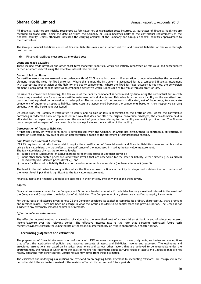All financial liabilities are initially recognised at fair value net of transaction costs incurred. All purchases of financial liabilities are recorded on trade date, being the date on which the Company or Group becomes party to the contractual requirements of the financial liability. Unless otherwise indicated the carrying amounts of the Company and Group's financial liabilities approximate to their fair values.

The Group's financial liabilities consist of financial liabilities measured at amortised cost and financial liabilities at fair value through profit or loss.

#### **d) Financial liabilities measured at amortised cost**

#### **Loans and trade payables**

These include trade payables and other short-term monetary liabilities, which are initially recognised at fair value and subsequently carried at amortised cost using the effective interest rate method.

#### **Convertible Loan Notes**

Convertible loan notes are assessed in accordance with IAS 32 Financial Instruments: Presentation to determine whether the conversion element meets the fixed-for-fixed criterion. Where this is met, the instrument is accounted for as a compound financial instrument with appropriate presentation of the liability and equity components. Where the fixed-for-fixed criterion is not met, the conversion element is accounted for separately as an embedded derivative which is measured at fair value through profit or loss.

On issue of a convertible borrowing, the fair value of the liability component is determined by discounting the contractual future cash flows using a market rate for a non-convertible instrument with similar terms. This value is carried as a liability on the amortised cost basis until extinguished on conversion or redemption. The remainder of the proceeds is allocated, net of issue costs, to a separate component of equity or a separate liability. Issue costs are apportioned between the components based on their respective carrying amounts when the instrument was issued.

On conversion, the liability is reclassified to equity and no gain or loss is recognised in the profit or loss. Where the convertible borrowing is redeemed early or repurchased in a way that does not alter the original conversion privileges, the consideration paid is allocated to the respective components and the amount of gain or loss relating to the liability element in profit or loss. The finance costs recognised in respect of the convertible borrowings includes the accretion of the liability.

#### **Derecognition of financial liabilities**

A financial liability (in whole or in part) is derecognised when the Company or Group has extinguished its contractual obligations, it expires or is cancelled. Any gain or loss on derecognition is taken to the statement of comprehensive income.

#### *Fair Value measurement hierarchy*

IFRS 13 requires certain disclosures which require the classification of financial assets and financial liabilities measured at fair value using a fair value hierarchy that reflects the significance of the input used in making the fair value measurement. The fair value hierarchy has the following levels:

- quoted prices (unadjusted) in active markets for identical assets or liabilities (level 1);
- b) input other than quoted prices included within level 1 that are observable for the asset or liability, either directly (i.e. as prices) or indirectly (i.e. derived prices (level 2); and
- c) inputs for the asset or liability that are not based on observable market data (unobservable input) (level 3).

The level in the fair value hierarchy within which the financial asset or financial liability is categorised is determined on the basis of the lowest level input that is significant to the fair value measurement.

Financial assets and financial liabilities are classified in their entirety into only one of the three levels.

#### *Capital*

Financial instruments issued by the Company and Group are treated as equity if the holder has only a residual interest in the assets of the Company and Group after the deduction of all liabilities. The Company's ordinary shares are classified as equity instruments.

For the purpose of disclosure given in note 26 the Company considers its capital to comprise its ordinary share capital, share premium and retained losses. There has been no change in what the Group considers to be capital since the previous period. The Group is not subject to any externally imposed capital requirements.

#### *Effective interest rate method*

The effective interest method is a method of calculating the amortised cost of a financial asset/liability and of allocating interest income/expense over the relevant period. The effective interest rate is the rate that discounts estimated future cash receipts/payments through the expected life of the financial asset/liability or, where appropriate, a shorter period.

#### **3. Accounting judgments and estimation**

The preparation of financial statements in conformity with IFRS requires management to make judgments, estimates and assumptions that affect the application of policies and reported amounts of assets and liabilities, income and expenses. The estimates and associated assumptions are based on historical experience and various other factors that are believed to be reasonable under the circumstances, the results of which form the basis of making the judgments about carrying values of assets and liabilities that are not readily apparent from other sources. Actual results may differ from these estimates.

The estimates and underlying assumptions are reviewed on an ongoing basis. Revisions to accounting estimates are recognised in the period in which the estimate is revised if the revision affects both current and future periods.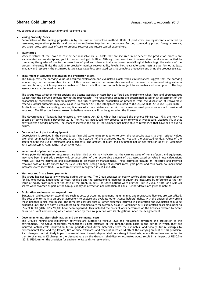Key sources of estimation uncertainty and judgment are:

**Mining Property Policy**

Depreciation of the mining properties is by the unit of production method. Units of production are significantly affected by resources, exploration potential and production estimates together with economic factors, commodity prices, foreign currency, exchange rates, estimates of costs to produce reserves and future capital expenditure.

**Inventories**

Stock is valued at the lower of cost or net realisable value. Costs that are incurred in or benefit the production process are accumulated as ore stockpiles, gold in process and gold bullion. Although the quantities of recoverable metal are reconciled by comparing the grades of ore to the quantities of gold and silver actually recovered (metallurgical balancing), the nature of the process inherently limits the ability to precisely monitor recoverability levels. Net realisable value tests are performed at least annually and represent the estimated future sales value less estimated costs to complete production and bring the product to sale.

#### **Impairment of acquired exploration and evaluation assets**

The Group tests the carrying value of acquired exploration and evaluation assets when circumstances suggest that the carrying amount may not be recoverable. As part of this review process the recoverable amount of the asset is determined using value in use calculations, which requires estimates of future cash flows and as such is subject to estimates and assumptions. The key assumptions are disclosed in note 9.

The Group tests whether mining options and license acquisition costs have suffered any impairment when facts and circumstances suggest that the carrying amount may not be recoverable. The recoverable amounts are determined based on an assessment of the economically recoverable mineral reserves, and future profitable production or proceeds from the disposition of recoverable reserves. Actual outcomes may vary. As at 31 December 2013 the intangibles amounted to US\$ 23,495,000 (2012: US\$10,380,000). As disclosed in the accounting policies, licenses which are viable and within the license renewal processes are not considered impaired. The Directors have no reason to believe renewal will not be granted on the licenses.

The Government of Tanzania has enacted a new Mining Act 2011, which has replaced the previous Mining Act 1998; the new Act became effective from 1 November 2011. The Act has introduced new procedures on renewal of Prospecting Licences (PL's) that now involves a tender process. The changes increase the risk of the Company not being able to retain PL's that have or are due to expire.

#### **Depreciation of plant and equipment**

Depreciation is provided in the consolidated financial statements so as to write down the respective assets to their residual values over their estimated useful lives and as such the selection of the estimated useful lives and the expected residual values of the assets require the use of estimates and judgments. The amount of plant and equipment net of depreciation as at 31 December 2013 was US\$90,437,000 (2012: US\$112,928,995).

#### **Impairment of plant and equipment**

Where potential triggers for impairment are identified which may indicate that the carrying value of items of plant and equipment may have been impaired, a review will be undertaken of the recoverable amount of that asset based on value in use calculations which will involve estimates and assumptions to be made by management. These estimates include an indicated and inferred resource base of 1.48m ounces for the New Luika Mine. Using a range of discount rates, gold prices and cash costs, no impairment indicators were identified. No impairments were recognised in 2013 and 2012.

#### **Warrants and Share based payments**

The Group has not issued any warrants during the period. The Group operates an equity settled share based remuneration scheme for key employees. Employees' services received and the corresponding increase in equity are measured by reference to the fair value of equity instruments at the date of the grant. In 2013, no share options were granted. But in 2013, a total of 6,680,000 shares were awarded as part of the Group's policy on attraction and retention of skills. Further details are given in note 24.

#### **Exploration and evaluation expenditure**

Exploration and evaluation expenditure such as costs of acquiring tenement rights, mining and prospecting licences are capitalised. The cost of entering into an option agreement to explore and evaluate other licence holders' rights, with the option of converting these licences is also capitalised. The Directors consider that all other expenses incurred in exploration and evaluation should be expensed until the ore body is considered to be commercially recoverable. As at 31 December 2013 exploration costs amounting to US\$2,988,000 (2012: US\$897,000 have been expensed. This included the costs of work performed on the licences covered by Great Basin Gold Joint Venture (JV) which were funded by the Group in line with its obligations under the JV agreement.

#### **Decommissioning, site rehabilitation and environmental costs**

The Group's mining and exploration activities are subject to various laws and regulations governing the protection of the environment. The Group recognises management's best estimate of the rehabilitation costs in the period in which they are incurred. Actual costs incurred in future periods could differ materially from the estimates. Additionally, future changes to environmental laws and regulations, life of mine estimates and discount rates could affect the carrying amount of this provision. Such changes could similarly impact the useful lives of assets depreciated on a straight-line-basis, where those lives are limited to the life of mine. A 1% change in the discount rate on the Group's rehabilitation estimates would result in an impact of US\$0.5m (2012: US\$0.4m) on the provision for environmental and site restoration.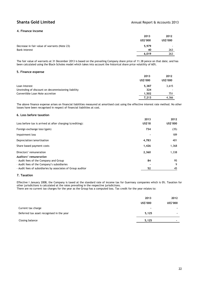### **Shanta Gold Limited Constanting Collection Annual Report & Accounts 2013**

#### **4. Finance income**

|                                              | 2013<br>US\$'000 | 2012<br>US\$'000         |
|----------------------------------------------|------------------|--------------------------|
| Decrease in fair value of warrants (Note 23) | 5,979            | $\overline{\phantom{a}}$ |
| Bank interest                                | 40               | 263                      |
|                                              | 6,019            | 263                      |

The fair value of warrants at 31 December 2013 is based on the prevailing Company share price of 11.38 pence on that date; and has been calculated using the Black-Scholes model which takes into account the historical share price volatility of 60%.

### **5. Finance expense**

|                                                    | 2013<br>US\$'000 | 2012<br>US\$'000         |
|----------------------------------------------------|------------------|--------------------------|
| Loan Interest                                      | 5,387            | 3,615                    |
| Unwinding of discount on decommissioning liability | 324              | $\overline{\phantom{a}}$ |
| Convertible Loan Note accretion                    | 1.502            | 751                      |
|                                                    | 7,213            | 4,366                    |

The above finance expense arises on financial liabilities measured at amortised cost using the effective interest rate method. No other losses have been recognised in respect of financial liabilities at cost.

### **6. Loss before taxation**

|                                                             | 2013           | 2012     |
|-------------------------------------------------------------|----------------|----------|
| Loss before tax is arrived at after charging/(crediting):   | <b>US\$'00</b> | US\$'000 |
| Foreign exchange loss/(gain)                                | 734            | (35)     |
| Impairment loss                                             |                | 189      |
| Depreciation/amortisation                                   | 4,783          | 401      |
| Share based payment costs                                   | 1,426          | 1,368    |
| Directors' remuneration                                     | 2,360          | 1,338    |
| Auditors' remuneration                                      |                |          |
| - Audit fees of the Company and Group                       | 84             | 95       |
| - Audit fees of the Company's subsidiaries                  |                | 9        |
| - Audit fees of subsidiaries by associates of Group auditor | 52             | 45       |

#### **7. Taxation**

Effective I January 2008, the Company is taxed at the standard rate of income tax for Guernsey companies which is 0%. Taxation for other jurisdictions is calculated at the rates prevailing in the respective jurisdictions.

There are no current tax charges for the year as the Group has a computed loss. Tax credit for the year relates to:

|                                           | 2013     | 2012     |
|-------------------------------------------|----------|----------|
|                                           | US\$'000 | US\$'000 |
| Current tax charge                        | ٠        | ۰        |
| Deferred tax asset recognised in the year | 5,125    |          |
| Closing balance                           | 5,125    |          |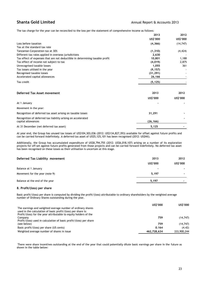### **Shanta Gold Limited Constanting Shanta Gold Limited Annual Report & Accounts 2013**

The tax charge for the year can be reconciled to the loss per the statement of comprehensive income as follows:

|                                                                                    | 2013      | 2012      |
|------------------------------------------------------------------------------------|-----------|-----------|
|                                                                                    | US\$'000  | US\$'000  |
| Loss before taxation                                                               | (4, 366)  | (14, 747) |
| Tax at the standard tax rate                                                       |           |           |
| Tanzanian Corporation tax at 30%                                                   | (1, 310)  | (4, 424)  |
| Different tax rates applied in overseas jurisdictions                              | 2,630     |           |
| Tax effect of expenses that are not deductible in determining taxable profit       | 10,801    | 1,188     |
| Tax effect of income not subject to tax                                            | (4,019)   | 2,875     |
| Unrecognised taxable losses                                                        | 1,055     | 361       |
| Tax losses utilised in the year                                                    | (9, 157)  |           |
| Recognised taxable losses                                                          | (31, 291) |           |
| Accelerated capital allowances                                                     | 26,166    |           |
| Tax credit                                                                         | (5, 125)  |           |
| Deferred Tax Asset movement                                                        | 2013      | 2012      |
|                                                                                    | US\$'000  | US\$'000  |
| At 1 January                                                                       |           |           |
| Movement in the year:                                                              |           |           |
| Recognition of deferred tax asset arising on taxable losses                        | 31,291    |           |
| Recognition of deferred tax liability arising on accelerated<br>capital allowances | (26, 166) |           |
| At 31 December (net deferred tax asset)                                            | 5,125     |           |

At year end, the Group has unused tax losses of US\$104,303,036 (2012: US\$134,827,393) available for offset against future profits and can be carried forward indefinitely. A deferred tax asset of US\$5,125,101 has been recognised (2012: US\$Nil).

Additionally, the Group has accumulated expenditure of US\$8,794,755 (2012: US\$6,018,107) arising on a number of its exploration projects for off-set against future profits generated from those projects and can be carried forward indefinitely. No deferred tax asset has been recognised on these losses as their utilisation is uncertain at this stage.

| Deferred Tax Liability movement | 2013     | 2012     |
|---------------------------------|----------|----------|
|                                 | US\$'000 | US\$'000 |
| Balance at 1 January            |          |          |
| Movement for the year (note 9)  | 5,197    |          |
| Balance at the end of the year  | 5,197    |          |

#### **8. Profit/(loss) per share**

Basic profit/(loss) per share is computed by dividing the profit/(loss) attributable to ordinary shareholders by the weighted average number of Ordinary Shares outstanding during the year.

|                                                                    | US\$'000    | US\$'000    |
|--------------------------------------------------------------------|-------------|-------------|
| The earnings and weighted average number of ordinary shares        |             |             |
| used in the calculation of basic profit/(loss) per share is:       |             |             |
| Profit/(loss) for the year attributable to equity holders of the   |             |             |
| Company                                                            | 759         | (14.747)    |
| Profit/(loss) used in calculation of basic profit/(loss) per share |             |             |
| (see below)                                                        | 759         | (14, 747)   |
| Basic profit/(loss) per share (US cents)                           | 0.164       | (4.42)      |
| Weighted average number of shares in issue                         | 462,728,634 | 333,900,244 |

There were share incentives outstanding at the end of the year that could potentially dilute basic earnings per share in the future as shown in the table below: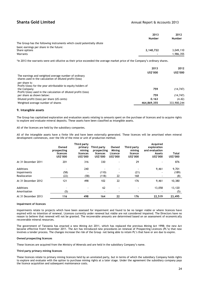### **Shanta Gold Limited Constanting Collection Annual Report & Accounts 2013**

|                                                                        | 2013      | 2012          |
|------------------------------------------------------------------------|-----------|---------------|
|                                                                        | Number    | <b>Number</b> |
| The Group has the following instruments which could potentially dilute |           |               |
| basic earnings per share in the future:                                |           |               |
| Share options                                                          | 2,140,722 | 3,049,110     |
| Warrants                                                               |           | 1,986,355     |

\*In 2013 the warrants were anti-dilutive as their price exceeded the average market price of the Company's ordinary shares.

| The earnings and weighted average number of ordinary<br>shares used in the calculation of diluted profit/(loss)                                                | 2013<br>US\$'000 | 2012<br>US\$'000 |
|----------------------------------------------------------------------------------------------------------------------------------------------------------------|------------------|------------------|
| per share is:<br>Profit/(loss) for the year attributable to equity holders of<br>the Company<br>Profit/(loss) used in the calculation of diluted profit/(loss) | 759              | (14, 747)        |
| per share as shown below:                                                                                                                                      | 759              | (14, 747)        |
| Diluted profit/(loss) per share (US cents)                                                                                                                     | 0.163            | (4.42)           |
| Weighted average number of shares                                                                                                                              | 464,869,355      | 333,900,244      |

#### **9. Intangible assets**

The Group has capitalised exploration and evaluation assets relating to amounts spent on the purchase of licences and to acquire rights to explore and evaluate mineral deposits. These assets have been classified as intangible assets.

All of the licences are held by the subsidiary companies.

All of the intangible assets have a finite life and have been externally generated. These licences will be amortised when mineral development commences, over the life of the mine or unit of production method.

|                     | Owned<br>prospecting<br>licences<br>US\$'000 | Third party<br>primary<br>mining<br>licences<br>US\$'000 | Third party<br>prospecting<br>licences<br>US\$'000 | Owned<br>Mining<br>Licence<br>US\$'000 | Third party<br>mining<br>licence<br>US\$'000 | Acquired<br>exploration<br>and evaluation<br><b>Assets</b><br>US\$'000 | <b>Total</b><br>US\$'000 |
|---------------------|----------------------------------------------|----------------------------------------------------------|----------------------------------------------------|----------------------------------------|----------------------------------------------|------------------------------------------------------------------------|--------------------------|
| At 31 December 2011 | 201                                          | 316                                                      | 330                                                |                                        | 29                                           |                                                                        | 876                      |
| Additions           |                                              | 240                                                      |                                                    | $\overline{\phantom{a}}$               |                                              | 9,461                                                                  | 9,701                    |
| <b>Impairments</b>  | (58)                                         | ٠                                                        | (110)                                              | $\overline{\phantom{a}}$               | (21)                                         |                                                                        | (189)                    |
| Reallocation        | (22)                                         | (58)                                                     | (118)                                              | 22                                     | 168                                          |                                                                        | (8)                      |
| At 31 December 2012 | 121                                          | 498                                                      | 102                                                | 22                                     | 176                                          | 9,461                                                                  | 10,380                   |
| Additions           | $\overline{\phantom{a}}$                     | ٠                                                        | 62                                                 | ٠                                      |                                              | 13,058                                                                 | 13,120                   |
| Amortisation        | (5)                                          |                                                          |                                                    | ٠                                      |                                              |                                                                        | (5)                      |
| At 31 December 2013 | 116                                          | 498                                                      | 164                                                | 22                                     | 176                                          | 22,519                                                                 | 23,495                   |

#### **Impairment of licences**

Impairments relate to projects which have been assessed for impairment and found to be no longer viable or where licences have expired with no intention of renewal. Licences currently under renewal but viable are not considered impaired. The Directors have no reason to believe that renewal will not be granted. The recoverable amounts are determined based on an assessment of economically recoverable mineral resources.

The government of Tanzania has enacted a new Mining Act 2011, which has replaced the previous Mining Act 1998; the new Act became effective from1 November 2011. The Act has introduced new procedures on renewal of Prospecting Licences (PL's) that now involves a tender process. The changes increase the risk of the Group not being able to retain PL's that have or are due to expire.

#### **Owned prospecting licences**

These licences are acquired from the Ministry of Minerals and are held in the subsidiary Company's name.

#### **Third party primary mining licences**

These licences relate to primary mining licences held by an unrelated party, but in terms of which the subsidiary Company holds rights to explore and evaluate with the option to purchase mining rights at a later stage. Under the agreement the subsidiary company pays the licence acquisition and subsequent maintenance costs.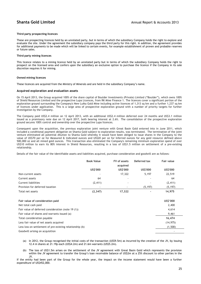#### **Third party prospecting licences**

These are prospecting licences held by an unrelated party, but in terms of which the subsidiary Company holds the right to explore and evaluate the site. Under the agreement the subsidiary company pays the third party for this right. In addition, the agreement provides for additional payments to be made which will be linked to certain events, for example establishment of proven and probable reserves or future sales.

#### **Third party mining licences**

This licence relates to a mining licence held by an unrelated party but in terms of which the subsidiary Company holds the right to prospect on the licensed area and confers upon the subsidiary an exclusive option to purchase the licence if the Company in its sole discretion requires it for mining.

#### **Owned mining licences**

These licences are acquired from the Ministry of Minerals and are held in the subsidiary Company's name.

#### **Acquired exploration and evaluation assets**

On 15 April 2013, the Group acquired 100% of the share capital of Boulder Investments (Private) Limited ("Boulder"), which owns 100% of Shield Resources Limited and the prospective Lupa Licences, from RK Mine Finance 1. The licences cover a significant portion of the exploration ground surrounding the Company's New Luika Gold Mine including active licences of 1,313 sq km and a further 1,237 sq km of licences under application. This is a large area of prospective exploration ground with a number of priority targets for further investigation by the Company.

The Company paid US\$2.4 million on 12 April 2013, with an additional US\$2.4 million deferred over 24 months and US\$3.1 million issued as a promissory note due on 12 April 2017, both bearing interest at 2.6%. The consolidation of the prospective exploration ground secures 100% control and ownership over the prospective Lupa licences.

Consequent upon the acquisition, the previous exploration joint venture with Great Basin Gold entered into in June 2011, which included a conditional payment obligation on Shanta Gold subject to exploration results, was terminated. The termination of the joint venture eliminated all potential dilution to Shanta Gold whereby it would have been obliged to issue shares in the Company to the value of US\$70 per oz for Measured & Indicated ounces and US\$20 per oz for Inferred ounces for any gold resource defined above 500,000 oz and all mined gold ounces. This transaction also eliminated the Company's remaining minimum exploration spend of over US\$10 million to earn its 80% interest in Shield Resources, resulting in a loss of US\$1.5 million on settlement of a pre-existing relationship.

Details of the fair value of the identifiable assets and liabilities acquired, purchase consideration and goodwill are as follows:

|                                                          | <b>Book Value</b> | FV of assets<br>acquired | Deferred tax | Fair value |
|----------------------------------------------------------|-------------------|--------------------------|--------------|------------|
|                                                          | US\$'000          | US\$'000                 | US\$'000     | US\$'000   |
| Non-current assets                                       |                   | 17,322                   | 5,197        | 22,519     |
| Current assets                                           | 64                |                          |              | 64         |
| Current liabilities                                      | (2, 411)          | ٠                        |              | (2, 411)   |
| Provision for deferred taxation                          |                   |                          | (5, 197)     | (5, 197)   |
| Total net assets                                         | (2, 347)          | 17,322                   |              | 14,975     |
| Fair value of consideration paid                         |                   |                          |              | US\$'000   |
| Net total cash paid                                      |                   |                          |              | 2,400      |
| Fair value of deferred consideration (note 19 (1))       |                   |                          |              | 4,614      |
| Fair value of shares and warrants issued (a)             |                   |                          |              | 9,461      |
| Total consideration payable                              |                   |                          |              | 16,474     |
| Less fair value of net assets acquired                   |                   |                          |              | (14, 975)  |
| Less loss on settlement of pre-existing relationship (b) |                   |                          |              | (1,500)    |
| Goodwill arising on acquisition                          |                   |                          |              |            |

- (a) In 2012, the Group recognised the initial costs of the transaction (US\$9.5m) as incurred by the creation of the JV, by issuing 12.4 m shares at 21.19p each (US\$4.2m) and 21.6m warrants (US\$5.2m).
- (b) The loss of US\$1.5m arises on the settlement of the JV agreement with Great Basin Gold which represents the provision within the JV agreement to transfer the Group's loan receivable balance of US\$2m at a 25% discount to other parties in the JV.
- If the entity had been part of the Group for the whole year, the impact on the income statement would have been a further expenditure of US\$452,000.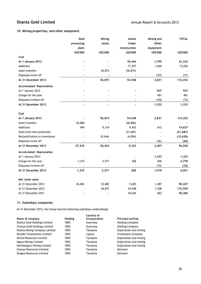## **Shanta Gold Limited Collection 2013 Annual Report & Accounts 2013**

### **10. Mining properties, and other equipment**

|                                 | Gold                     | Mining   | Assets       | Mining and   | <b>TOTAL</b> |
|---------------------------------|--------------------------|----------|--------------|--------------|--------------|
|                                 | processing               | assets   | Under        | <b>Other</b> |              |
|                                 | plant                    |          | Construction | equipment    |              |
|                                 | US\$'000                 | US\$'000 | US\$'000     | US\$'000     | US\$'000     |
| Cost                            |                          |          |              |              |              |
| At 1 January 2012               |                          |          | 39,444       | 1,799        | 41,243       |
| Additions                       |                          |          | 71,977       | 1,049        | 73,026       |
| Asset transfers                 |                          | 56,873   | (56, 873)    |              |              |
| Disposals/write off             |                          |          |              | (17)         | (17)         |
| At 31 December 2012             | $\overline{\phantom{a}}$ | 56,873   | 54,548       | 2,831        | 114,252      |
| <b>Accumulated Depreciation</b> |                          |          |              |              |              |
| At 1 January 2012               |                          |          |              | 937          | 937          |
| Charge for the year             |                          |          |              | 401          | 401          |
| Disposals/written off           |                          |          |              | (15)         | (15)         |
| At 31 December 2012             |                          |          |              | 1,323        | 1,323        |
| Cost                            |                          |          |              |              |              |
| At 1 January 2013               |                          | 56,873   | 54,548       | 2,831        | 114,252      |
| Asset transfers                 | 26,886                   |          | (26, 886)    |              |              |
| Additions                       | 449                      | 9,124    | 9,452        | 612          | 19,637       |
| Sales from test production      |                          |          | (21, 687)    |              | (21, 687)    |
| Reclassification to inventories |                          | (9, 544) | (6,094)      |              | (15, 638)    |
| Disposals/write off             |                          |          |              | (36)         | (36)         |
| At 31 December 2013             | 27,335                   | 56,453   | 9,333        | 3,407        | 96,528       |
| <b>Accumulated Depreciation</b> |                          |          |              |              |              |
| At 1 January 2013               |                          |          |              | 1,323        | 1,323        |
| Charge for the year             | 1,333                    | 2,571    | 268          | 606          | 4,778        |
| Disposals/written off           |                          |          |              | (10)         | (10)         |
| At 31 December 2013             | 1,333                    | 2,571    | 268          | 1,919        | 6,091        |
| Net book value                  |                          |          |              |              |              |
| At 31 December 2013             | 26,002                   | 53,882   | 9,065        | 1,487        | 90,437       |
| At 31 December 2012             |                          | 56,873   | 54,548       | 1,508        | 112,929      |
| At 31 December 2011             |                          |          | 39,444       | 862          | 40,306       |

### **11. Subsidiary companies**

At 31 December 2013, the Group had the following subsidiary undertakings:

|      | Country of     |                               |
|------|----------------|-------------------------------|
|      |                | Principal activity            |
| 100% | Guernsey       | <b>Holding Company</b>        |
| 100% | Guernsey       | <b>Holding Company</b>        |
| 100% | Tanzania       | <b>Exploration and mining</b> |
| 100% | Cyprus         | <b>Investment Company</b>     |
| 100% | Tanzania       | Exploration and mining        |
| 100% | Tanzania       | <b>Exploration and mining</b> |
| 100% | Tanzania       | <b>Exploration and mining</b> |
| 100% | Tanzania       | Dormant                       |
| 100% | Tanzania       | Dormant                       |
|      | <b>Holding</b> | Incorporation                 |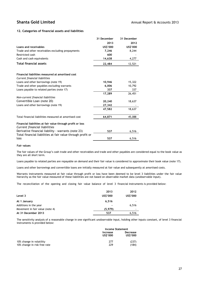### **12. Categories of financial assets and liabilities**

|                                                             | 31 December | 31 December |
|-------------------------------------------------------------|-------------|-------------|
|                                                             | 2013        | 2012        |
| Loans and receivables                                       | US\$'000    | US\$'000    |
| Trade and other receivables excluding prepayments           | 7,246       | 8,244       |
| Restricted cash                                             | 600         |             |
| Cash and cash equivalents                                   | 14,638      | 4,277       |
| <b>Total financial assets</b>                               | 22,484      | 12,521      |
| Financial liabilities measured at amortised cost            |             |             |
| Current financial liabilities                               |             |             |
| Loans and other borrowings (note 19)                        | 10,946      | 15,322      |
| Trade and other payables excluding warrants                 | 6,006       | 10,792      |
| Loans payable to related parties (note 17)                  | 337         | 337         |
|                                                             | 17,289      | 26,451      |
| Non-current financial liabilities                           |             |             |
| Convertible Loan (note 20)                                  | 20,240      | 18,637      |
| Loans and other borrowings (note 19)                        | 27,342      |             |
|                                                             | 47,582      | 18,637      |
| Total financial liabilities measured at amortised cost      | 64,871      | 45,088      |
| Financial liabilities at fair value through profit or loss  |             |             |
| Current financial liabilities                               |             |             |
| Derivative financial liability - warrants (note 23)         | 537         | 6,516       |
| Total financial liabilities at fair value through profit or |             |             |
| loss                                                        | 537         | 6,516       |

#### **Fair values**

The fair values of the Group's cash trade and other receivables and trade and other payables are considered equal to the book value as they are all short term.

Loans payable to related parties are repayable on demand and their fair value is considered to approximate their book value (note 17).

Loans and other borrowings and convertible loans are initially measured at fair value and subsequently at amortised costs.

Warrants instruments measured at fair value through profit or loss have been deemed to be level 3 liabilities under the fair value hierarchy as the fair value measured of these liabilities are not based on observable market data (unobservable input).

The reconciliation of the opening and closing fair value balance of level 3 financial instruments is provided below:

|                                 | 2013           | 2012     |
|---------------------------------|----------------|----------|
| Level 3                         | US\$'000       | US\$'000 |
| At 1 January                    | 6.516          |          |
| Additions in the year           | $\blacksquare$ | 6.516    |
| Movement in fair value (note 4) | (5,979)        | $\,$     |
| At 31 December 2013             | 537            | 6,516    |

The sensitivity analysis of a reasonable change in one significant unobservable input, holding other inputs constant, of level 3 financial instruments is provided below:

|                                                          | Income Statement     |                             |
|----------------------------------------------------------|----------------------|-----------------------------|
|                                                          | Increase<br>US\$'000 | <b>Decrease</b><br>US\$'000 |
| 10% change in volatility<br>10% change in risk free rate | 277<br>229           | (237)<br>(184)              |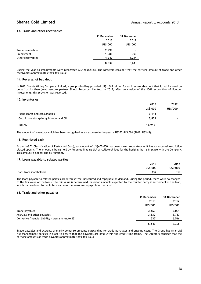### **13. Trade and other receivables**

|                   | 31 December | 31 December |
|-------------------|-------------|-------------|
|                   | 2013        | 2012        |
|                   | US\$'000    | US\$'000    |
| Trade receivables | 2,999       | ۰           |
| Prepayment        | 1,088       | 399         |
| Other receivables | 4,247       | 8,244       |
|                   | 8,334       | 8,643       |

During the year no impairments were recognised (2012: US\$Nil). The Directors consider that the carrying amount of trade and other receivables approximates their fair value.

#### **14. Reversal of bad debt**

In 2012, Shanta Mining Company Limited, a group subsidiary provided US\$1,668 million for an irrecoverable debt that it had incurred on behalf of its then joint venture partner Shield Resources Limited. In 2013, after conclusion of the 100% acquisition of Boulder Investments, this provision was reversed.

#### **15. Inventories**

|                                          | 2013     | 2012                     |
|------------------------------------------|----------|--------------------------|
|                                          | US\$'000 | US\$'000                 |
| Plant spares and consumables             | 3,118    | $\sim$                   |
| Gold in ore stockpile, gold room and CIL | 13,831   |                          |
| <b>TOTAL</b>                             | 16,949   | $\overline{\phantom{0}}$ |

The amount of inventory which has been recognised as an expense in the year is US\$53,815,506 (2012: US\$Nil).

#### **16. Restricted cash**

As per IAS 7 (Classification of Restricted Cash), an amount of US\$600,000 has been shown separately as it has an external restriction placed upon it. The amount is being held by Auramet Trading LLP as collateral fees for the hedging that is in place with the Company. This amount is not for use by Auramet.

#### **17. Loans payable to related parties**

|                         | 2013     | 2012     |
|-------------------------|----------|----------|
|                         | US\$'000 | US\$'000 |
| Loans from shareholders | 337      | 337      |
|                         |          |          |

The loans payable to related parties are interest free, unsecured and repayable on demand. During the period, there were no changes to the fair value of the loans. The fair value is determined, based on amounts expected by the counter party in settlement of the loan, which is considered to be its face value as the loans are repayable on demand.

#### **18. Trade and other payables**

|                                                     | 31 December | 31 December |
|-----------------------------------------------------|-------------|-------------|
|                                                     | 2013        | 2012        |
|                                                     | US\$'000    | US\$'000    |
| Trade payables                                      | 2,169       | 7,009       |
| Accruals and other payables                         | 3,837       | 3,783       |
| Derivative financial liability - warrants (note 23) | 537         | 6,516       |
|                                                     | 6.543       | 17,308      |

Trade payables and accruals primarily comprise amounts outstanding for trade purchases and ongoing costs. The Group has financial risk management policies in place to ensure that the payables are paid within the credit time frame. The Directors consider that the carrying amounts of trade payables approximate their fair value.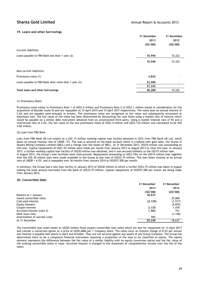### **19. Loans and other borrowings**

|                                                      | 31 December | 31 December |
|------------------------------------------------------|-------------|-------------|
|                                                      | 2013        | 2012        |
|                                                      | US\$'000    | US\$'000    |
| Current liabilities                                  |             |             |
| Loans payable to FBN Bank less than 1 year (2)       | 10,946      | 15,322      |
|                                                      | 10,946      | 15,322      |
| Non-current liabilities                              |             |             |
| Promissory notes (1)                                 | 4,842       |             |
| Loans payable to FBN Bank after more than 1 year (2) | 22,500      |             |
|                                                      | 27,342      |             |
| Total loans and other borrowings                     | 38,288      | 15,322      |

#### (1) Promissory Notes

Promissory notes relate to Promissory Note 1 of US\$2.4 million and Promissory Note 2 of US\$3.1 million issued in consideration for the acquisition of Boulder (note 9) and are repayable on 15 April 2015 and 15 April 2017 respectively. The notes bear an annual interest of 2.6% and are payable semi-annually in arrears. The promissory notes are recognised at fair value and subsequently accounted at amortised cost. The fair value of the notes has been determined by discounting the cash flows using a market rate of interest which would be payable on a similar debt instrument obtained from an unconnected third party. Using a market interest rate of 9% and a contractual rate of 2.6%, the fair value of the two promissory notes of US\$2.4 million and US\$3.134 million was calculated to be US\$ 4.82 million.

#### (2) Loan from FBN Bank

Loan from FBN Bank UK Ltd relates to a US\$ 15 million working capital loan facility obtained in 2012 from FBN Bank UK Ltd, which bears an annual interest rate of LIBOR +7%. The loan is secured on the bank account which is credited with gold sales, the shares in Shanta Mining Company Limited (SMCL) and a charge over the assets of SMCL. At 31 December 2012, US\$10 million was outstanding on this loan. Capital repayments of US\$1.25 million were made per month from January 2013 to August 2013 to clear this loan. In January 2013, a further working capital loan facility of US\$30 million was obtained, and it was secured similarly to the US\$15 million loan. In August 2013, the Group's loan facilities were restructured. Repayments amounting to US\$3.75m on the US\$15 million loan together with the US\$ 30 million loan were made available to the Group as one loan of US\$33.75 million. This loan bears interest at an annual rate of LIBOR + 6.5%, and is repayable over 36 months from January 2014 at US\$937,500 per month.

In summary, the Group had a new loan facility in January 2013 of US\$30 million to which a further US\$3.75 million was taken in August making the total amount borrowed from the bank of US\$33.75 million. Capital repayments of US\$937,500 per month are being made from January 2014.

#### **20. Convertible Debt**

|                               | 31 December | 31 December |
|-------------------------------|-------------|-------------|
|                               | 2013        | 2012        |
|                               | US\$'000    | US\$'000    |
| Balance at 1 January          | 18,637      |             |
| Issued convertible notes      |             | 25,000      |
| Cash paid interest            | (2, 125)    | (1, 517)    |
| Equity element                |             | (5, 875)    |
| Coupon interest               | 2,125       | 1,418       |
| Accreted Interest (note 5)    | 1,502       | 751         |
| Debt issue costs              |             | (1, 140)    |
| Amortisation of warrant costs | 101         |             |
| At 31 December                | 20.240      | 18.637      |

The convertible loan notes relate to US\$25 million fixed coupon convertible loan notes which are due for repayment on 13 April 2017 and contain a conversion option at a price of US\$0.4686 per 1 Company share. The notes incur an interest charge of 8.5% per annum and interest is payable half yearly in April and October. They are not secured against any assets of any Group Company. The Group has determined them to be a compound financial instrument requiring a proportion of the loan to be classified as equity. The equity element represents the difference between the fair value of a similar liability with no equity conversion option and the fair value of the existing convertible notes in issue. Accreted interest is charged to the statement of comprehensive income over the life of the notes.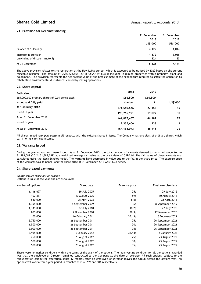#### **21. Provision for Decommissioning**

|                                | 31 December | 31 December |
|--------------------------------|-------------|-------------|
|                                | 2013        | 2012        |
|                                | US\$'000    | US\$'000    |
| Balance at 1 January           | 4,129       | 1,014       |
| Increase in provision          | 1,372       | 3,035       |
| Unwinding of discount (note 5) | 324         | 80          |
| At 31 December                 | 5,825       | 4,129       |

The above provision relates to site restoration at the New Luika project, which is expected to be utilised by 2022 based on the current mineable resource. The amount of US\$5,824,658 (2012: US\$4,129,833) is included in mining properties within property, plant and equipment. The provision represents the net present value of the best estimate of the expenditure required to settle the obligation to rehabilitate environmental disturbances caused by mining operations.

#### **22. Share capital**

| Authorised                                     | 2013          | 2012    |          |
|------------------------------------------------|---------------|---------|----------|
| 665,000,000 ordinary shares of 0.01 pence each | £66,500       | £66,500 |          |
| Issued and fully paid                          | <b>Number</b> | £       | US\$'000 |
| At 1 January 2012                              | 271,560,546   | 27,155  | 45       |
| Issued in year                                 | 190,266,921   | 19,027  | 30       |
| As at 31 December 2012                         | 461,827,467   | 46,182  | 75       |
| Issued in year                                 | 2,335,606     | 233     |          |
| As at 31 December 2013                         | 464, 163, 073 | 46,415  | 76       |

All shares issued rank *pari passu* in all respects with the existing shares in issue. The Company has one class of ordinary shares which carry no right to fixed income.

#### **23. Warrants issued**

During the year no warrants were issued. As at 31 December 2013, the total number of warrants deemed to be issued amounted to 31,388,089 (2012: 31,388,089) at a weighted average fair value at the grant date of GBP0.14. The fair value of these warrants was calculated using the Black-Scholes model. The warrants have decreased in value due to the fall in the share price. The exercise price of the warrants was 35 pence, and the share price at 31 December 2013 was 11.38 pence.

#### **24. Share-based payments**

*Equity-settled share option scheme* Options in issue at the year-end are as follows:

| Number of options | <b>Grant date</b> | <b>Exercise price</b> | Final exercise date |
|-------------------|-------------------|-----------------------|---------------------|
| 1,146,697         | 29 July 2005      | 25p                   | 29 July 2015        |
| 407,367           | 10 August 2006    | 59 <sub>p</sub>       | 10 August 2016      |
| 550,000           | 25 April 2008     | 8.5p                  | 25 April 2018       |
| 1,495,000         | 8 September 2009  | 6p                    | 8 September 2019    |
| 1,345,000         | 27 July 2010      | 18.2p                 | 27 July 2020        |
| 875,000           | 17 November 2010  | 28.3p                 | 17 November 2020    |
| 100,000           | 16 February 2011  | 35.13 <sub>p</sub>    | 16 February 2021    |
| 2,750,000         | 26 September 2011 | 25p                   | 26 September 2021   |
| 1,500,000         | 26 September 2011 | 30 <sub>p</sub>       | 26 September 2021   |
| 2,000,000         | 26 September 2011 | 35p                   | 26 September 2021   |
| 2,955,000         | 6 January 2012    | 23.13 <sub>p</sub>    | 6 January 2022      |
| 250,000           | 23 August 2012    | 25p                   | 23 August 2022      |
| 500,000           | 23 August 2012    | 30 <sub>p</sub>       | 23 August 2022      |
| 500,000           | 23 August 2012    | 35p                   | 23 August 2022      |
|                   |                   |                       |                     |

There were no market conditions within the terms of the grant of the options. The main vesting condition for all the options awarded was that the employee or Director remained contracted to the Company at the date of exercise. All such options, subject to the remuneration committee discretion, lapse 12 months after an employee or Director leaves the Group before the options vest. All options vest over a three-year period in tranches of 25%, 25% and 50% respectively.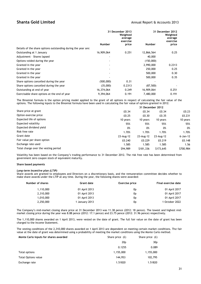### **Shanta Gold Limited Constanting Shanta Gold Limited Constanting Constanting Annual Report & Accounts 2013**

|                                                               | 31 December 2013<br>Weighted<br>average<br>exercise |        | 31 December 2012<br>Weighted<br>average<br>exercise |        |
|---------------------------------------------------------------|-----------------------------------------------------|--------|-----------------------------------------------------|--------|
|                                                               | <b>Number</b>                                       | price  | Number                                              | price  |
| Details of the share options outstanding during the year are: |                                                     |        |                                                     |        |
| Outstanding at 1 January                                      | 16,909,064                                          | 0.251  | 12,866,564                                          | 0.25   |
| Adjustment - Shares lapsed                                    |                                                     |        | 40,000                                              |        |
| Options voided during the year                                |                                                     |        | (150,000)                                           |        |
| Granted in the year                                           |                                                     |        | 2,990,000                                           | 0.2313 |
| Granted in the year                                           |                                                     |        | 250,000                                             | 0.25   |
| Granted in the year                                           |                                                     |        | 500,000                                             | 0.30   |
| Granted in the year                                           |                                                     |        | 500,000                                             | 0.35   |
| Share options cancelled during the year                       | (500,000)                                           | 0.31   |                                                     |        |
| Share options cancelled during the year                       | (35,000)                                            | 0.2313 | (87, 500)                                           | ٠      |
| Outstanding at end of year                                    | 16,374,064                                          | 0.249  | 16,909,064                                          | 0.251  |
| Exercisable share options at the end of year                  | 9,394,064                                           | 0.191  | 7,480,000                                           | 0.191  |

The Binomial formula is the option pricing model applied to the grant of all options in respect of calculating the fair value of the options. The following inputs to the Binomial formula have been used in calculating the fair value of options granted in 2012:

|                                      | 31 December 2012 |           |           |              |
|--------------------------------------|------------------|-----------|-----------|--------------|
| Share price at grant                 | £0.34            | £0.34     | £0.34     | £0.23        |
| Option exercise price                | £0.25            | £0.30     | £0.35     | £0.231       |
| Expected life of options             | 10 years         | 10 years  | 10 years  | 10 years     |
| Expected volatility                  | 55%              | 55%       | 55%       | 55%          |
| Expected dividend yield              | 0%               | 0%        | 0%        | 0%           |
| Risk free rate                       | 1.70%            | 1.70%     | 1.70%     | 1.70%        |
| Grant date                           | 23-Aug-12        | 23-Aug-12 | 23-Aug-12 | $6 - Jan-12$ |
| Fair value per share option          | £0.240           | £0.229    | £0.219    | £0.148       |
| Exchange rate used                   | 1.585            | 1.585     | 1.585     | 1.56         |
| Total charge over the vesting period | \$94,989         | \$181,336 | \$173,645 | \$700,984    |

Volatility has been based on the Company's trading performance to 31 December 2012. The risk free rate has been determined from government zero coupon stock of equivalent maturity.

#### **Share based payments**

#### *Long-term incentive plan (LTIP)*

Share awards are granted to employees and Directors on a discretionary basis, and the remuneration committee decides whether to make share awards under the LTIP at any time. During the year, the following shares were awarded:

| Number of shares | Grant date     | <b>Exercise price</b> | Final exercise date |
|------------------|----------------|-----------------------|---------------------|
| 1,110,000        | 01 April 2013  | 0p                    | 01 April 2017       |
| 2,310,000        | 01 April 2013  | 0p                    | 01 April 2017       |
| 1,010,000        | 01 April 2013  | 0p                    | 01 April 2017       |
| 2,250,000        | 1 January 2013 | 0p                    | 1 October 2022      |

The Company's mid-market closing share price at 31 December 2013 was 11.38 pence (2012: 18 pence). The lowest and highest midmarket closing price during the year was 8.88 pence (2012: 17.1 pence) and 23.75 pence (2012: 31.96 pence) respectively.

The 1,110,000 shares awarded on 1 April 2013, were vested on the date of grant. The full fair value on the date of grant has been charged to the Income Statement.

The vesting conditions of the 2,310,000 shares awarded on 1 April 2013 are dependent on meeting certain market conditions. The fair value at the date of grant was determined using a probability of meeting the market conditions using the Monte Carlo method.

| Share price $(f)$ | Share price $(f)$ |
|-------------------|-------------------|
| 20 <sub>D</sub>   | 30 <sub>p</sub>   |
| 0.1255            | 0.089             |
| 1,155,000         | 1,155,000         |
| 144,953           | 102,795           |
| 1.51820           | 1.51820           |
|                   |                   |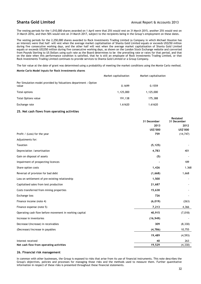### **Shanta Gold Limited Constanting Shanta Gold Limited Constanting Constanting Annual Report & Accounts 2013**

The vesting periods for the 1,010,000 shares awarded on 1 April were that 25% would vest on 31 March 2015, another 25% would vest on 31 March 2016, and then 50% would vest on 31 March 2017, subject to the recipients being in the Group's employment on these dates.

The vesting periods for the 2,250,000 shares awarded to Rock Investments Trading Limited (a Company in which Michael Houston has an interest) were that half will vest when the average market capitalisation of Shanta Gold Limited equals or exceeds US\$250 million during five consecutive working days, and the other half will vest when the average market capitalisation of Shanta Gold Limited equals or exceeds US\$350 million during five consecutive working days, as shown on the London Stock Exchange website and converted from Pounds Sterling to US Dollars using such rate as the Board determines to be the prevailing rate or rates for that period, and that on the date when this performance condition is satisfied, that he is still an employee of Rock Investments Trading Limited, or that Rock Investments Trading Limited continues to provide services to Shanta Gold Limited or a Group Company.

The fair value at the date of grant was determined using a probability of meeting the market conditions using the Monte Carlo method.

#### **Monte Carlo Model inputs for Rock Investments shares**

|                                                                          | Market capitalisation | Market capitalisation |
|--------------------------------------------------------------------------|-----------------------|-----------------------|
| Per Simulation model provided by Valuations department : Option<br>value | 0.1699                | 0.1559                |
| Total options                                                            | 1,125,000             | 1,125,000             |
| <b>Total Options value</b>                                               | 191,138               | 175,388               |
| Exchange rate                                                            | 1.61620               | 1.61620               |
|                                                                          |                       |                       |

#### **25. Net cash flows from operating activities**

|                                                        |                     | Restated<br>31 December |
|--------------------------------------------------------|---------------------|-------------------------|
|                                                        | 31 December<br>2013 | 2012                    |
|                                                        | US\$'000            | US\$'000                |
| Profit / (Loss) for the year                           | 759                 | (14, 747)               |
| Adjustments for:                                       |                     |                         |
| Taxation                                               | (5, 125)            |                         |
| Depreciation / amortisation                            | 4,783               | 401                     |
| Gain on disposal of assets                             | (5)                 |                         |
| Impairment of prospecting licences                     |                     | 189                     |
| Share option costs                                     | 1,426               | 1.368                   |
| Reversal of provision for bad debt                     | (1,668)             | 1,668                   |
| Loss on settlement of pre-existing relationship        | 1,500               |                         |
| Capitalised sales from test production                 | 21,687              |                         |
| Costs transferred from mining properties               | 15,638              |                         |
| Exchange loss                                          | 726                 |                         |
| Finance income (note 4)                                | (6, 019)            | (263)                   |
| Finance expense (note 5)                               | 7,213               | 4,366                   |
| Operating cash flow before movement in working capital | 40,915              | (7,018)                 |
| Increase in inventories                                | (16, 949)           |                         |
| Decrease/(Increase) in receivables                     | 309                 | (8, 330)                |
| (Decrease)/increase in payables                        | (4, 786)            | 10,755                  |
|                                                        | 19,489              | (4, 593)                |
| Interest received                                      | 40                  | 263                     |
| Net cash flow from operating activities                | 19,529              | (4, 330)                |

#### **26. Financial risk management**

In common with other businesses, the Group is exposed to risks that arise from its use of financial instruments. This note describes the Group's objectives, policies and processes for managing those risks and the methods used to measure them. Further quantitative information in respect of these risks is presented throughout these financial statements.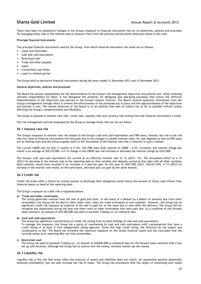There have been no substantive changes in the Group's exposure to financial instrument risk nor its objectives, policies and processes for managing those risks or the method used to measure them from the previous period unless otherwise stated in this note.

#### **Principal financial instruments**

The principal financial instruments used by the Group, from which financial Instrument risk arises are as follows:

- Loans and receivable
- Cash and cash equivalents
- Restricted cash
- Trade and other payable
- Loans
- Convertible Loan Notes
- Loans to related parties

The Group held no derivative financial instruments during the years ended 31 December 2012 and 31 December 2013.

#### **General objectives, policies and processes**

The Board has overall responsibility for the determination of the Group's risk management objectives and policies and, whilst retaining ultimate responsibility for them, it has delegated the authority for designing and operating processes that ensure the effective implementation of the objectives and policies to the Group's finance function. The Board receives quarterly information from the Group's management through which it reviews the effectiveness of the processes put in place and the appropriateness of the objectives and policies it sets. The overall objective of the Board is to set policies that seek to reduce risk as far as possible without unduly affecting the Group's competitiveness and flexibility.

The Group is exposed to interest rate risks, credit risks, liquidity risks and currency risks arising from the financial instruments it holds.

The risk management policies employed by the Group to manage these risks are set out below.

#### **26.1 Interest rate risk**

The Group's exposure to interest rate risk relates to the Group's cash and cash equivalents and FBN loans. Interest rate risk is the risk that the value of financial instruments will fluctuate due to the changes in market interest rates. All cash deposits as well as FBN loans are at floating rates and the Group exposes itself to the fluctuation of the interest rate that is inherent in such a market.

The current LIBOR rate for US\$ (1 month) is 0.15%. The FBN loans bear interest at LIBOR + 6.5%. Currently, the interest charge per month is an average of US\$170,000. A 0.1% change in the LIBOR rate will increase or decrease the interest charge by US\$3,000.

The Group's cash and cash equivalents are carried at an effective interest rate of 1% (2012: 1%). The annualised effect of a 1% (2012:1%) decrease in the interest rate at the reporting date on that variable rate deposits carried at that date with all other variables held constant, would have resulted in an increase in a post-tax gain for the year of US\$7,590 (2012: US\$147,470). A 1% (2012:1%) increase in the interest rate would, on the same basis, decrease post tax gain by the same amount.

#### **26.2 Credit risk**

Credit risk arises when a failure by counter-parties to discharge their obligations could reduce the amount of future cash inflows from financial assets on hand at the reporting date.

The Group's exposure to credit risk is explained below:

#### *a) Trade and other receivables*

The Group generates revenue from the sale of gold and silver. In the event of a default by a debtor of amounts due from other receivables, the Group will be able to meet those costs. Sales are made principally to one customer. However, the Group has no significant credit risk exposure as majority of the sale is paid for on the same day or soon after the delivery. The Group did not recognise any impairment during the year and there were no other receivables that were past due. As a condition of the forward sales contracts, an amount of US\$ 600,000 was paid to Auramet Trading LLC as collateral fees.

#### *b) Cash and cash equivalents*

The Group has significant concentration of credit risk arising from its bank holdings of cash and cash equivalents. To manage this exposure, the Group has a policy of maintaining its cash and cash equivalents with counterparties that have a credit listing of at least A from independent rating agencies. Given this high credit rating, the Directors do not expect any counterparty to fail. The Board has reviewed the maximum exposure on the Group financial assets and has concluded that the carrying values as at reporting date are fully recoverable.

#### *c) Restricted cash*

The Group has paid to Auramet Trading LLC, an amount of US\$600,000 as collateral fees for the forward sales contracts that it has set up with Auramet. Although the Group has no control over the money, Auramet cannot use the money.

#### **26.3 Liquidity risk**

Liquidity risk is the risk that arises when the maturity of assets and liabilities does not match. An unmatched position potentially enhances profitability, but can also increase the risk of losses. The Group has procedures with the object of minimising such losses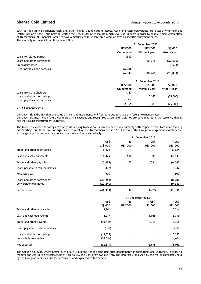### **Shanta Gold Limited Constanting Shanta Gold Limited Constanting Constanting Annual Report & Accounts 2013**

such as maintaining sufficient cash and other highly liquid current assets. Cash and cash equivalents are placed with financial institutions on a short-term basis reflecting the Group's desire to maintain high levels of liquidity in order to enable timely completion of transactions. All financial liabilities have a maturity of less than three years or have no specific repayment dates. The maturity of financial liabilities is as follows:

|                             | 31 December 2013         |                |                |
|-----------------------------|--------------------------|----------------|----------------|
|                             | US\$'000<br>US\$'000     |                |                |
|                             | On demand                | Within 1 year  | After 1 year   |
| Loans to related parties    | (337)                    |                |                |
| Loans and other borrowings  | $\overline{\phantom{a}}$ | (10, 946)      | (22, 500)      |
| Promissory notes            | ۰                        |                | (5, 534)       |
| Other payables and accruals | (6,006)                  | $\blacksquare$ | $\blacksquare$ |
|                             | (6, 343)                 | (10, 946)      | (28, 034)      |

|                             |                          | 31 December 2012 |              |  |
|-----------------------------|--------------------------|------------------|--------------|--|
|                             | US\$'000                 | US\$'000         | US\$'000     |  |
|                             | On demand                | Within 1 year    | After 1 year |  |
| Loans from shareholders     | (337)                    |                  |              |  |
| Loans and other borrowings  | $\overline{\phantom{0}}$ | (15, 323)        | (25,000)     |  |
| Other payables and accruals | (10.792)                 | -                | ۰            |  |
|                             | (11, 129)                | (15, 323)        | (25,000)     |  |

### **26.4 Currency risk**

Currency risk is the risk that the value of financial instruments will fluctuate due to change in foreign exchange rates. Currency risk arises when future commercial transactions and recognised assets and liabilities are denominated in the currency that is not the Group's measurement currency.

The Group is exposed to foreign exchange risk arising from various currency exposures primarily with respect to the Tanzanian Shilling and Sterling, but these are not significant as most of the transactions are in USD. However, the Group's management monitors the exchange rate fluctuations on a continuous basis and acts accordingly.

|                                  | 31 December 2013 |                |            |              |
|----------------------------------|------------------|----------------|------------|--------------|
|                                  | US\$             | <b>TZS</b>     | <b>GBP</b> | <b>Total</b> |
|                                  | US\$'000         | US\$'000       | US\$'000   | US\$'000     |
| Trade and other receivables      | 8,334            | ۰              |            | 8,334        |
| Cash and cash equivalents        | 14,429           | 110            | 99         | 14,638       |
| Trade and other payables         | (5,889)          | (73)           | (581)      | (6, 543)     |
| Loans payable to related parties | (337)            | $\blacksquare$ |            | (337)        |
| Restricted cash                  | 600              | -              |            | 600          |
| Loans and other borrowings       | (38, 288)        | ٠              |            | (38, 288)    |
| Convertible loan notes           | (20, 240)        | ٠              |            | (20, 240)    |
| Net exposure                     | (41, 391)        | 37             | (482)      | (41, 836)    |

|                                                      | 31 December 2012          |                               |                          |                            |
|------------------------------------------------------|---------------------------|-------------------------------|--------------------------|----------------------------|
| Trade and other receivables                          | US\$<br>US\$'000<br>8,244 | <b>TZS</b><br>US\$'000<br>٠   | <b>GBP</b><br>US\$'000   | Total<br>US\$'000<br>8,244 |
| Cash and cash equivalents                            | 4,277                     | $\overline{\phantom{a}}$      | 1,068                    | 5,345                      |
| Trade and other payables                             | (10, 544)                 |                               | (6, 764)                 | (17, 308)                  |
| Loans payable to related parties                     | (337)                     | $\overline{\phantom{a}}$      |                          | (337)                      |
| Loans and other borrowings<br>Convertible loan notes | (15, 322)<br>(18, 637)    | $\overline{\phantom{0}}$<br>٠ | $\overline{\phantom{a}}$ | (15, 322)<br>(18, 637)     |
| Net exposure                                         | (32, 319)                 |                               | (5,696)                  | (38, 015)                  |

The Group's policy is, where possible, to allow Group entities to settle liabilities denominated in their functional currency. In order to monitor the continuing effectiveness of this policy, the Board reviews quarterly the liabilities, analysed by the major currencies held by the Group of liabilities due for settlement and expected cash reserves.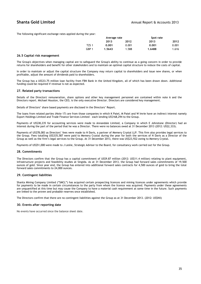The following significant exchange rates applied during the year:

|       | Average rate |       | Spot rate |       |
|-------|--------------|-------|-----------|-------|
|       | 2013         | 2012  | 2013      | 2012  |
| TZS 1 | 0.001        | 0.001 | 0.001     | 0.001 |
| GBP 1 | 1.5643       | 1.588 | 1.6488    | 1.616 |

#### **26.5 Capital risk management**

The Group's objectives when managing capital are to safeguard the Group's ability to continue as a going concern in order to provide returns for shareholders and benefit for other stakeholders and to maintain an optimal capital structure to reduce the costs of capital.

In order to maintain or adjust the capital structure the Company may return capital to shareholders and issue new shares, or when profitable, adjust the amount of dividends paid to shareholders.

The Group has a US\$33.75 million loan facility from FBN Bank in the United Kingdom, all of which has been drawn down. Additional funding could be required if revenue is not as expected.

#### **27. Related party transactions**

Details of the Directors' remuneration, share options and other key management personnel are contained within note 6 and the Directors report. Michael Houston, the CEO, is the only executive Director. Directors are considered key management.

Details of Directors' share based payments are disclosed in the Directors' Report.

The loans from related parties (Note 17) are from those companies in which K Patel, M Patel and W Imrie have an indirect interest namely Export Holdings Limited and Trade Finance Services Limited – each lending US\$168,294 to the Group.

Payments of US\$38,235 for accounting services were made to Annandale Limited, a Company in which E Johnstone (Director) had an interest during the part of the period that he was a Director. There were no balances owed at 31 December 2013 (2012: US\$2,333).

Payments of US\$78,083 as Directors' fees were made to N Davis, a partner of Memery Crystal LLP. This firm also provides legal services to the Group. Fees totalling US\$335,587 were paid to Memery Crystal during the year for both the services of N Davis as a Director of the Group as well as the firm's legal services to the Group. At 31 December 2013, there was US\$23,922 owing to Memery Crystal.

Payments of US\$51,000 were made to J Leslie, Strategic Advisor to the Board, for consultancy work carried out for the Group.

#### **28. Commitments**

The Directors confirm that the Group has a capital commitment of US\$9.87 million (2012: US\$11.4 million) relating to plant equipment, infrastructure projects and feasibility studies at Singida. As at 31 December 2013, the Group had forward sales commitments of 19,500 ounces of gold. Since year end, the Group has entered into additional forward sales contracts for 4,500 ounces of gold to bring the total forward sales commitments to 24,000 ounces.

#### **29. Contingent liabilities**

Shanta Mining Company Limited ("SMCL") has acquired certain prospecting licences and mining licences under agreements which provide for payments to be made in certain circumstances to the party from whom the licence was acquired. Payments under these agreements are unquantified at this time but may cause the Company to have a material cash requirement at some time in the future. Such payments are linked to the proven and probable reserves once established.

The Directors confirm that there are no contingent liabilities against the Group as at 31 December 2013. (2012: US\$Nil)

#### **30. Events after reporting date**

No events have occurred since the balance sheet date.